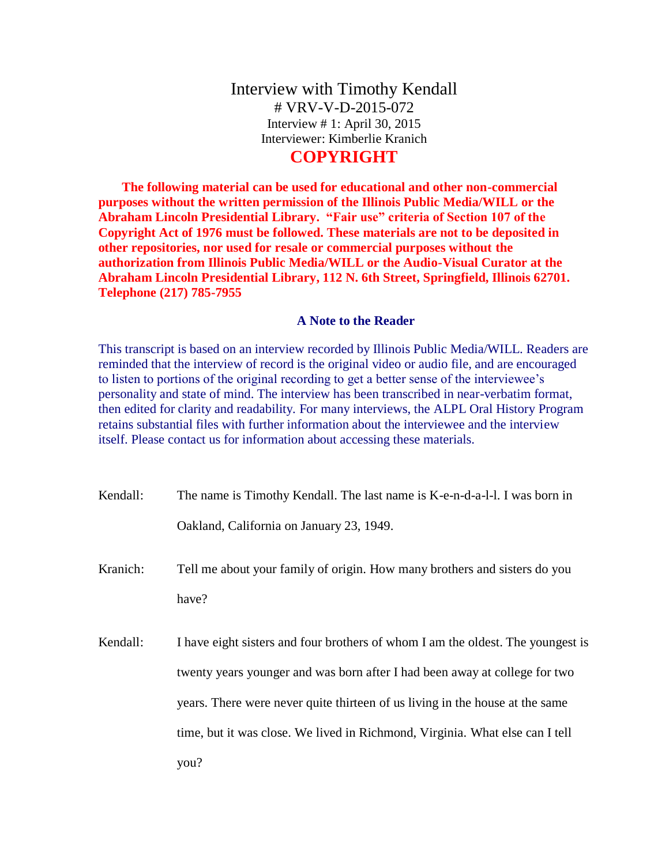## Interview with Timothy Kendall # VRV-V-D-2015-072 Interview # 1: April 30, 2015 Interviewer: Kimberlie Kranich

## **COPYRIGHT**

**The following material can be used for educational and other non-commercial purposes without the written permission of the Illinois Public Media/WILL or the Abraham Lincoln Presidential Library. "Fair use" criteria of Section 107 of the Copyright Act of 1976 must be followed. These materials are not to be deposited in other repositories, nor used for resale or commercial purposes without the authorization from Illinois Public Media/WILL or the Audio-Visual Curator at the Abraham Lincoln Presidential Library, 112 N. 6th Street, Springfield, Illinois 62701. Telephone (217) 785-7955**

## **A Note to the Reader**

This transcript is based on an interview recorded by Illinois Public Media/WILL. Readers are reminded that the interview of record is the original video or audio file, and are encouraged to listen to portions of the original recording to get a better sense of the interviewee's personality and state of mind. The interview has been transcribed in near-verbatim format, then edited for clarity and readability. For many interviews, the ALPL Oral History Program retains substantial files with further information about the interviewee and the interview itself. Please contact us for information about accessing these materials.

| Kendall: | The name is Timothy Kendall. The last name is K-e-n-d-a-l-l. I was born in      |
|----------|---------------------------------------------------------------------------------|
|          | Oakland, California on January 23, 1949.                                        |
| Kranich: | Tell me about your family of origin. How many brothers and sisters do you       |
|          | have?                                                                           |
| Kendall: | I have eight sisters and four brothers of whom I am the oldest. The youngest is |
|          | twenty years younger and was born after I had been away at college for two      |
|          | years. There were never quite thirteen of us living in the house at the same    |
|          | time, but it was close. We lived in Richmond, Virginia. What else can I tell    |
|          | you?                                                                            |
|          |                                                                                 |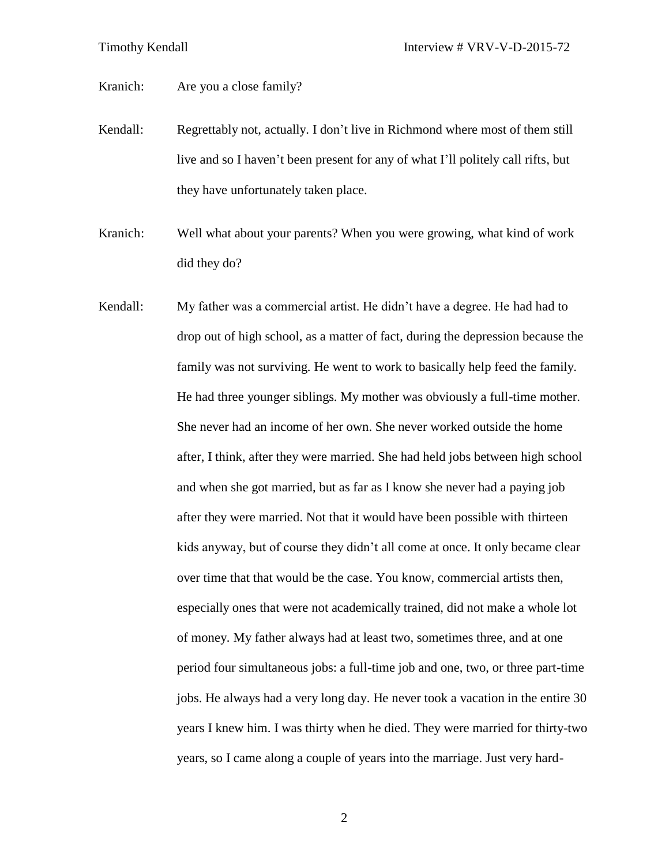Kranich: Are you a close family?

- Kendall: Regrettably not, actually. I don't live in Richmond where most of them still live and so I haven't been present for any of what I'll politely call rifts, but they have unfortunately taken place.
- Kranich: Well what about your parents? When you were growing, what kind of work did they do?
- Kendall: My father was a commercial artist. He didn't have a degree. He had had to drop out of high school, as a matter of fact, during the depression because the family was not surviving. He went to work to basically help feed the family. He had three younger siblings. My mother was obviously a full-time mother. She never had an income of her own. She never worked outside the home after, I think, after they were married. She had held jobs between high school and when she got married, but as far as I know she never had a paying job after they were married. Not that it would have been possible with thirteen kids anyway, but of course they didn't all come at once. It only became clear over time that that would be the case. You know, commercial artists then, especially ones that were not academically trained, did not make a whole lot of money. My father always had at least two, sometimes three, and at one period four simultaneous jobs: a full-time job and one, two, or three part-time jobs. He always had a very long day. He never took a vacation in the entire 30 years I knew him. I was thirty when he died. They were married for thirty-two years, so I came along a couple of years into the marriage. Just very hard-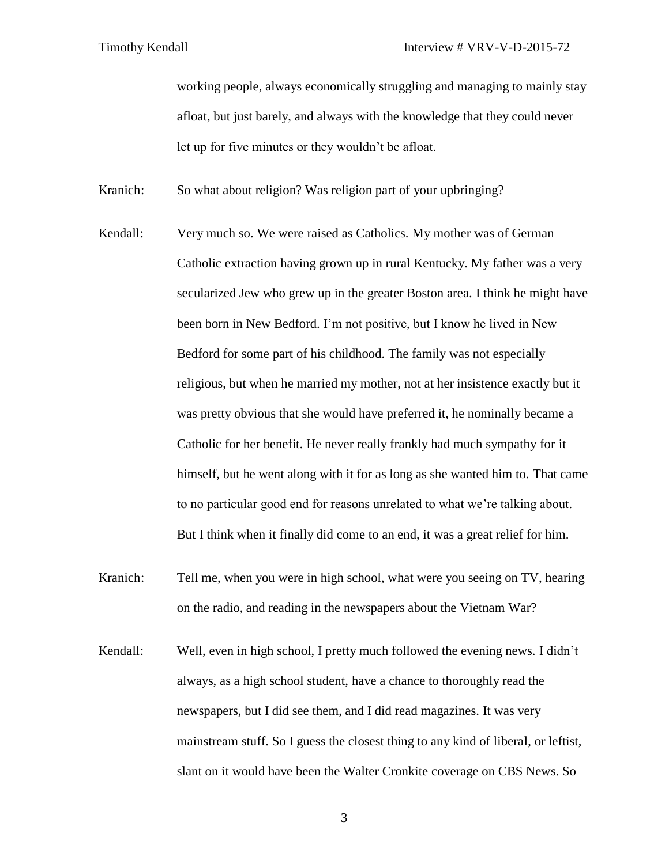working people, always economically struggling and managing to mainly stay afloat, but just barely, and always with the knowledge that they could never let up for five minutes or they wouldn't be afloat.

Kranich: So what about religion? Was religion part of your upbringing?

- Kendall: Very much so. We were raised as Catholics. My mother was of German Catholic extraction having grown up in rural Kentucky. My father was a very secularized Jew who grew up in the greater Boston area. I think he might have been born in New Bedford. I'm not positive, but I know he lived in New Bedford for some part of his childhood. The family was not especially religious, but when he married my mother, not at her insistence exactly but it was pretty obvious that she would have preferred it, he nominally became a Catholic for her benefit. He never really frankly had much sympathy for it himself, but he went along with it for as long as she wanted him to. That came to no particular good end for reasons unrelated to what we're talking about. But I think when it finally did come to an end, it was a great relief for him.
- Kranich: Tell me, when you were in high school, what were you seeing on TV, hearing on the radio, and reading in the newspapers about the Vietnam War?
- Kendall: Well, even in high school, I pretty much followed the evening news. I didn't always, as a high school student, have a chance to thoroughly read the newspapers, but I did see them, and I did read magazines. It was very mainstream stuff. So I guess the closest thing to any kind of liberal, or leftist, slant on it would have been the Walter Cronkite coverage on CBS News. So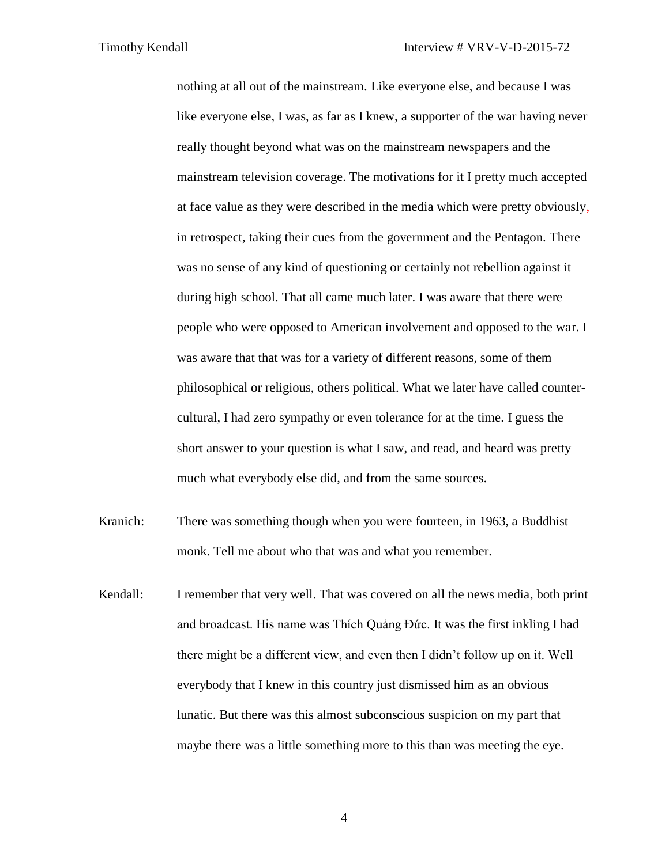nothing at all out of the mainstream. Like everyone else, and because I was like everyone else, I was, as far as I knew, a supporter of the war having never really thought beyond what was on the mainstream newspapers and the mainstream television coverage. The motivations for it I pretty much accepted at face value as they were described in the media which were pretty obviously, in retrospect, taking their cues from the government and the Pentagon. There was no sense of any kind of questioning or certainly not rebellion against it during high school. That all came much later. I was aware that there were people who were opposed to American involvement and opposed to the war. I was aware that that was for a variety of different reasons, some of them philosophical or religious, others political. What we later have called countercultural, I had zero sympathy or even tolerance for at the time. I guess the short answer to your question is what I saw, and read, and heard was pretty much what everybody else did, and from the same sources.

- Kranich: There was something though when you were fourteen, in 1963, a Buddhist monk. Tell me about who that was and what you remember.
- Kendall: I remember that very well. That was covered on all the news media, both print and broadcast. His name was Thích Quảng Đức. It was the first inkling I had there might be a different view, and even then I didn't follow up on it. Well everybody that I knew in this country just dismissed him as an obvious lunatic. But there was this almost subconscious suspicion on my part that maybe there was a little something more to this than was meeting the eye.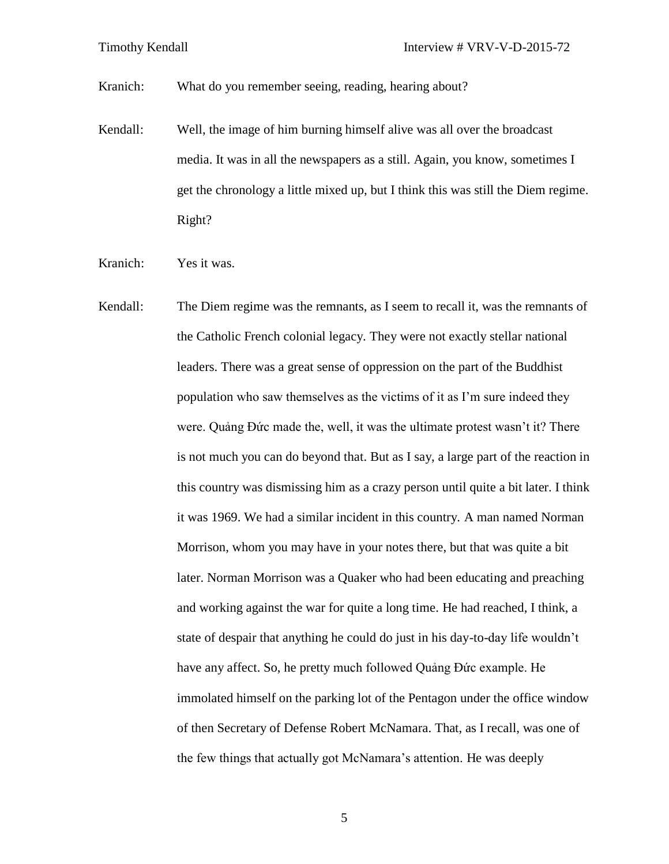Kranich: What do you remember seeing, reading, hearing about?

- Kendall: Well, the image of him burning himself alive was all over the broadcast media. It was in all the newspapers as a still. Again, you know, sometimes I get the chronology a little mixed up, but I think this was still the Diem regime. Right?
- Kranich: Yes it was.
- Kendall: The Diem regime was the remnants, as I seem to recall it, was the remnants of the Catholic French colonial legacy. They were not exactly stellar national leaders. There was a great sense of oppression on the part of the Buddhist population who saw themselves as the victims of it as I'm sure indeed they were. Quảng Đức made the, well, it was the ultimate protest wasn't it? There is not much you can do beyond that. But as I say, a large part of the reaction in this country was dismissing him as a crazy person until quite a bit later. I think it was 1969. We had a similar incident in this country. A man named Norman Morrison, whom you may have in your notes there, but that was quite a bit later. Norman Morrison was a Quaker who had been educating and preaching and working against the war for quite a long time. He had reached, I think, a state of despair that anything he could do just in his day-to-day life wouldn't have any affect. So, he pretty much followed Quảng Đức example. He immolated himself on the parking lot of the Pentagon under the office window of then Secretary of Defense Robert McNamara. That, as I recall, was one of the few things that actually got McNamara's attention. He was deeply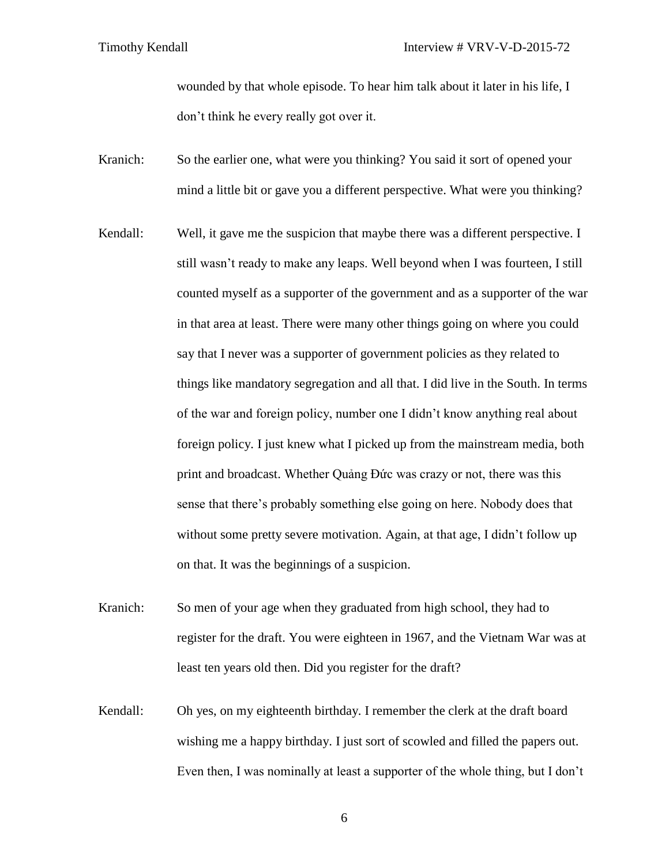wounded by that whole episode. To hear him talk about it later in his life, I don't think he every really got over it.

- Kranich: So the earlier one, what were you thinking? You said it sort of opened your mind a little bit or gave you a different perspective. What were you thinking?
- Kendall: Well, it gave me the suspicion that maybe there was a different perspective. I still wasn't ready to make any leaps. Well beyond when I was fourteen, I still counted myself as a supporter of the government and as a supporter of the war in that area at least. There were many other things going on where you could say that I never was a supporter of government policies as they related to things like mandatory segregation and all that. I did live in the South. In terms of the war and foreign policy, number one I didn't know anything real about foreign policy. I just knew what I picked up from the mainstream media, both print and broadcast. Whether Quảng Đức was crazy or not, there was this sense that there's probably something else going on here. Nobody does that without some pretty severe motivation. Again, at that age, I didn't follow up on that. It was the beginnings of a suspicion.
- Kranich: So men of your age when they graduated from high school, they had to register for the draft. You were eighteen in 1967, and the Vietnam War was at least ten years old then. Did you register for the draft?
- Kendall: Oh yes, on my eighteenth birthday. I remember the clerk at the draft board wishing me a happy birthday. I just sort of scowled and filled the papers out. Even then, I was nominally at least a supporter of the whole thing, but I don't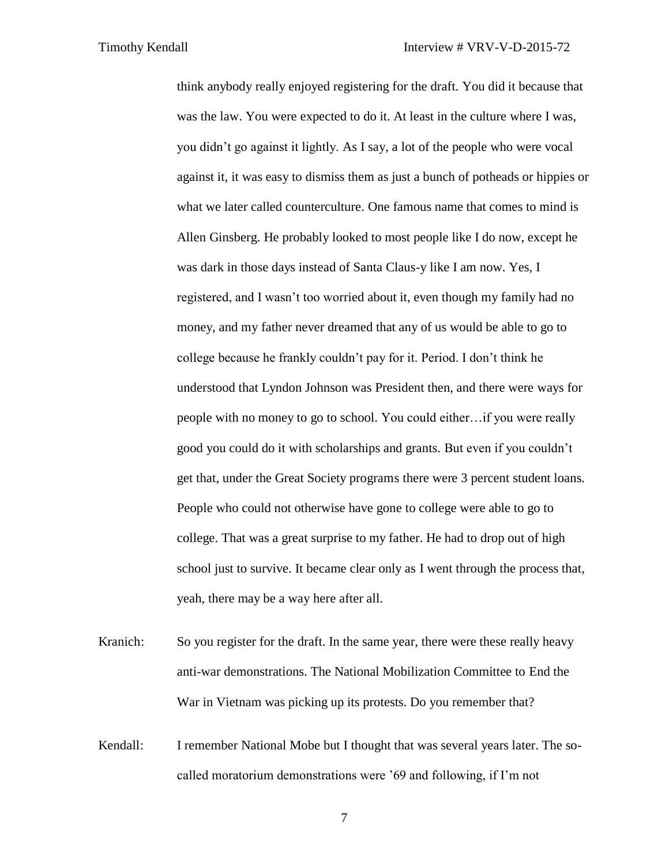think anybody really enjoyed registering for the draft. You did it because that was the law. You were expected to do it. At least in the culture where I was, you didn't go against it lightly. As I say, a lot of the people who were vocal against it, it was easy to dismiss them as just a bunch of potheads or hippies or what we later called counterculture. One famous name that comes to mind is Allen Ginsberg. He probably looked to most people like I do now, except he was dark in those days instead of Santa Claus-y like I am now. Yes, I registered, and I wasn't too worried about it, even though my family had no money, and my father never dreamed that any of us would be able to go to college because he frankly couldn't pay for it. Period. I don't think he understood that Lyndon Johnson was President then, and there were ways for people with no money to go to school. You could either…if you were really good you could do it with scholarships and grants. But even if you couldn't get that, under the Great Society programs there were 3 percent student loans. People who could not otherwise have gone to college were able to go to college. That was a great surprise to my father. He had to drop out of high school just to survive. It became clear only as I went through the process that, yeah, there may be a way here after all.

Kranich: So you register for the draft. In the same year, there were these really heavy anti-war demonstrations. The National Mobilization Committee to End the War in Vietnam was picking up its protests. Do you remember that?

Kendall: I remember National Mobe but I thought that was several years later. The socalled moratorium demonstrations were '69 and following, if I'm not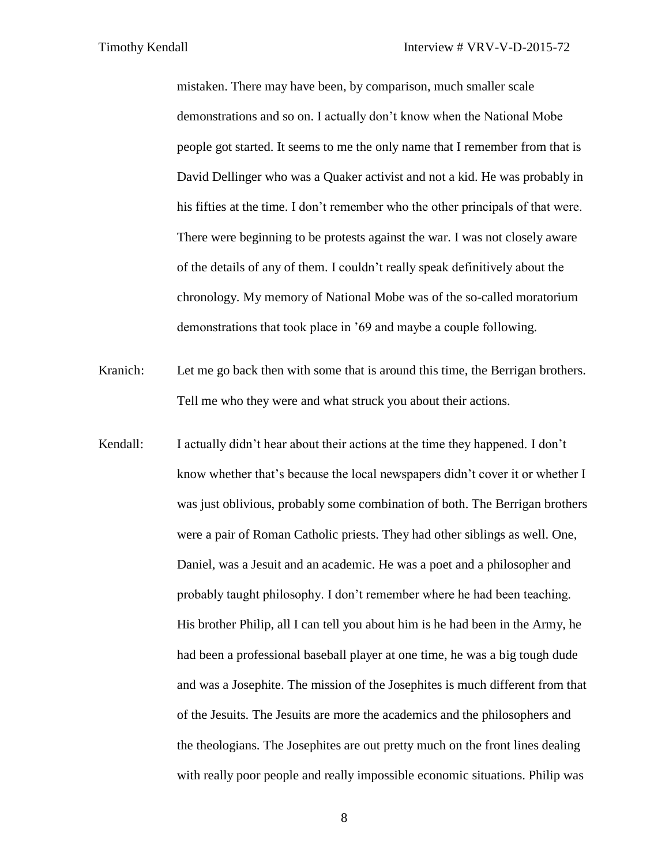mistaken. There may have been, by comparison, much smaller scale demonstrations and so on. I actually don't know when the National Mobe people got started. It seems to me the only name that I remember from that is David Dellinger who was a Quaker activist and not a kid. He was probably in his fifties at the time. I don't remember who the other principals of that were. There were beginning to be protests against the war. I was not closely aware of the details of any of them. I couldn't really speak definitively about the chronology. My memory of National Mobe was of the so-called moratorium demonstrations that took place in '69 and maybe a couple following.

Kranich: Let me go back then with some that is around this time, the Berrigan brothers. Tell me who they were and what struck you about their actions.

Kendall: I actually didn't hear about their actions at the time they happened. I don't know whether that's because the local newspapers didn't cover it or whether I was just oblivious, probably some combination of both. The Berrigan brothers were a pair of Roman Catholic priests. They had other siblings as well. One, Daniel, was a Jesuit and an academic. He was a poet and a philosopher and probably taught philosophy. I don't remember where he had been teaching. His brother Philip, all I can tell you about him is he had been in the Army, he had been a professional baseball player at one time, he was a big tough dude and was a Josephite. The mission of the Josephites is much different from that of the Jesuits. The Jesuits are more the academics and the philosophers and the theologians. The Josephites are out pretty much on the front lines dealing with really poor people and really impossible economic situations. Philip was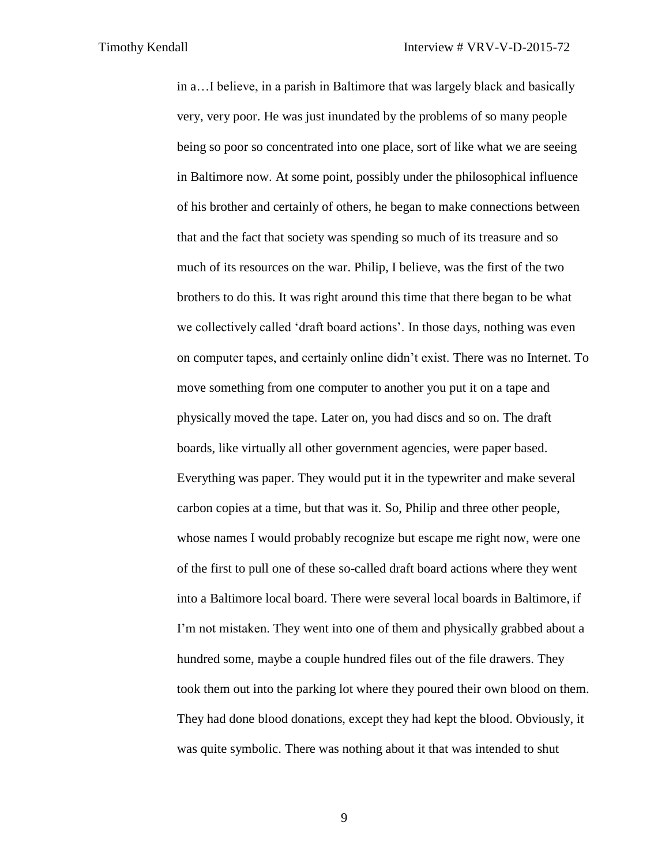in a…I believe, in a parish in Baltimore that was largely black and basically very, very poor. He was just inundated by the problems of so many people being so poor so concentrated into one place, sort of like what we are seeing in Baltimore now. At some point, possibly under the philosophical influence of his brother and certainly of others, he began to make connections between that and the fact that society was spending so much of its treasure and so much of its resources on the war. Philip, I believe, was the first of the two brothers to do this. It was right around this time that there began to be what we collectively called 'draft board actions'. In those days, nothing was even on computer tapes, and certainly online didn't exist. There was no Internet. To move something from one computer to another you put it on a tape and physically moved the tape. Later on, you had discs and so on. The draft boards, like virtually all other government agencies, were paper based. Everything was paper. They would put it in the typewriter and make several carbon copies at a time, but that was it. So, Philip and three other people, whose names I would probably recognize but escape me right now, were one of the first to pull one of these so-called draft board actions where they went into a Baltimore local board. There were several local boards in Baltimore, if I'm not mistaken. They went into one of them and physically grabbed about a hundred some, maybe a couple hundred files out of the file drawers. They took them out into the parking lot where they poured their own blood on them. They had done blood donations, except they had kept the blood. Obviously, it was quite symbolic. There was nothing about it that was intended to shut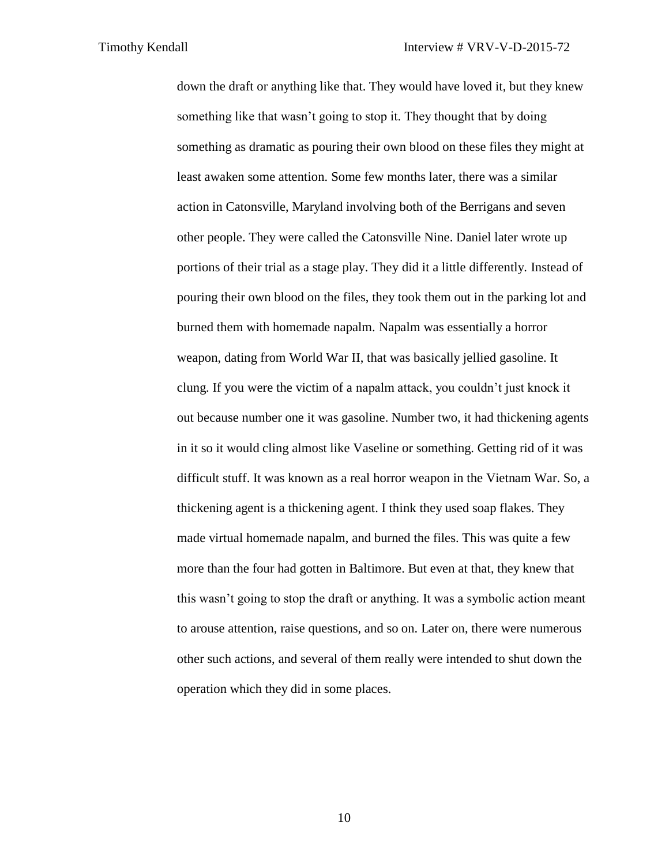down the draft or anything like that. They would have loved it, but they knew something like that wasn't going to stop it. They thought that by doing something as dramatic as pouring their own blood on these files they might at least awaken some attention. Some few months later, there was a similar action in Catonsville, Maryland involving both of the Berrigans and seven other people. They were called the Catonsville Nine. Daniel later wrote up portions of their trial as a stage play. They did it a little differently. Instead of pouring their own blood on the files, they took them out in the parking lot and burned them with homemade napalm. Napalm was essentially a horror weapon, dating from World War II, that was basically jellied gasoline. It clung. If you were the victim of a napalm attack, you couldn't just knock it out because number one it was gasoline. Number two, it had thickening agents in it so it would cling almost like Vaseline or something. Getting rid of it was difficult stuff. It was known as a real horror weapon in the Vietnam War. So, a thickening agent is a thickening agent. I think they used soap flakes. They made virtual homemade napalm, and burned the files. This was quite a few more than the four had gotten in Baltimore. But even at that, they knew that this wasn't going to stop the draft or anything. It was a symbolic action meant to arouse attention, raise questions, and so on. Later on, there were numerous other such actions, and several of them really were intended to shut down the operation which they did in some places.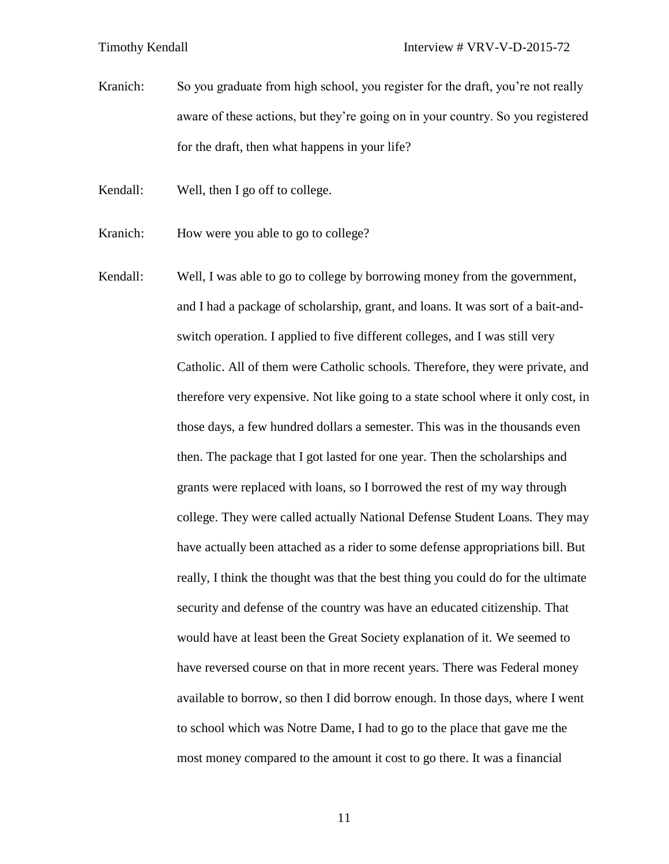Kranich: So you graduate from high school, you register for the draft, you're not really aware of these actions, but they're going on in your country. So you registered for the draft, then what happens in your life?

- Kendall: Well, then I go off to college.
- Kranich: How were you able to go to college?
- Kendall: Well, I was able to go to college by borrowing money from the government, and I had a package of scholarship, grant, and loans. It was sort of a bait-andswitch operation. I applied to five different colleges, and I was still very Catholic. All of them were Catholic schools. Therefore, they were private, and therefore very expensive. Not like going to a state school where it only cost, in those days, a few hundred dollars a semester. This was in the thousands even then. The package that I got lasted for one year. Then the scholarships and grants were replaced with loans, so I borrowed the rest of my way through college. They were called actually National Defense Student Loans. They may have actually been attached as a rider to some defense appropriations bill. But really, I think the thought was that the best thing you could do for the ultimate security and defense of the country was have an educated citizenship. That would have at least been the Great Society explanation of it. We seemed to have reversed course on that in more recent years. There was Federal money available to borrow, so then I did borrow enough. In those days, where I went to school which was Notre Dame, I had to go to the place that gave me the most money compared to the amount it cost to go there. It was a financial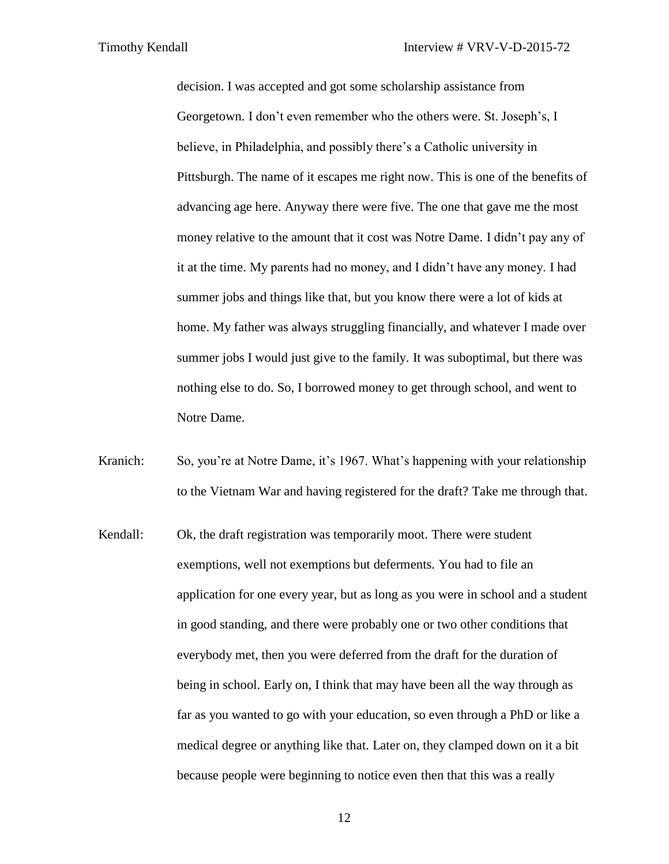decision. I was accepted and got some scholarship assistance from Georgetown. I don't even remember who the others were. St. Joseph's, I believe, in Philadelphia, and possibly there's a Catholic university in Pittsburgh. The name of it escapes me right now. This is one of the benefits of advancing age here. Anyway there were five. The one that gave me the most money relative to the amount that it cost was Notre Dame. I didn't pay any of it at the time. My parents had no money, and I didn't have any money. I had summer jobs and things like that, but you know there were a lot of kids at home. My father was always struggling financially, and whatever I made over summer jobs I would just give to the family. It was suboptimal, but there was nothing else to do. So, I borrowed money to get through school, and went to Notre Dame.

Kranich: So, you're at Notre Dame, it's 1967. What's happening with your relationship to the Vietnam War and having registered for the draft? Take me through that.

Kendall: Ok, the draft registration was temporarily moot. There were student exemptions, well not exemptions but deferments. You had to file an application for one every year, but as long as you were in school and a student in good standing, and there were probably one or two other conditions that everybody met, then you were deferred from the draft for the duration of being in school. Early on, I think that may have been all the way through as far as you wanted to go with your education, so even through a PhD or like a medical degree or anything like that. Later on, they clamped down on it a bit because people were beginning to notice even then that this was a really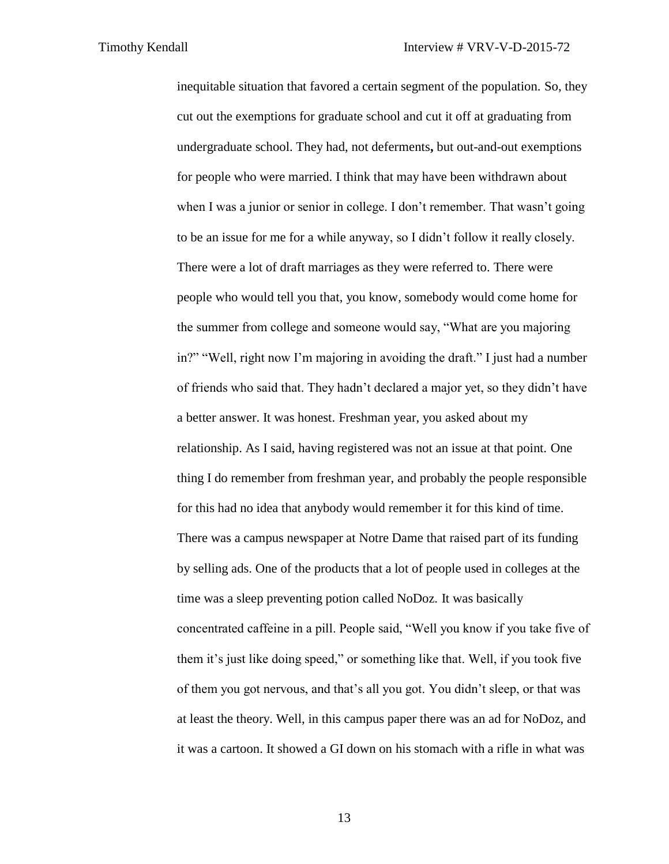inequitable situation that favored a certain segment of the population. So, they cut out the exemptions for graduate school and cut it off at graduating from undergraduate school. They had, not deferments**,** but out-and-out exemptions for people who were married. I think that may have been withdrawn about when I was a junior or senior in college. I don't remember. That wasn't going to be an issue for me for a while anyway, so I didn't follow it really closely. There were a lot of draft marriages as they were referred to. There were people who would tell you that, you know, somebody would come home for the summer from college and someone would say, "What are you majoring in?" "Well, right now I'm majoring in avoiding the draft." I just had a number of friends who said that. They hadn't declared a major yet, so they didn't have a better answer. It was honest. Freshman year, you asked about my relationship. As I said, having registered was not an issue at that point. One thing I do remember from freshman year, and probably the people responsible for this had no idea that anybody would remember it for this kind of time. There was a campus newspaper at Notre Dame that raised part of its funding by selling ads. One of the products that a lot of people used in colleges at the time was a sleep preventing potion called NoDoz. It was basically concentrated caffeine in a pill. People said, "Well you know if you take five of them it's just like doing speed," or something like that. Well, if you took five of them you got nervous, and that's all you got. You didn't sleep, or that was at least the theory. Well, in this campus paper there was an ad for NoDoz, and it was a cartoon. It showed a GI down on his stomach with a rifle in what was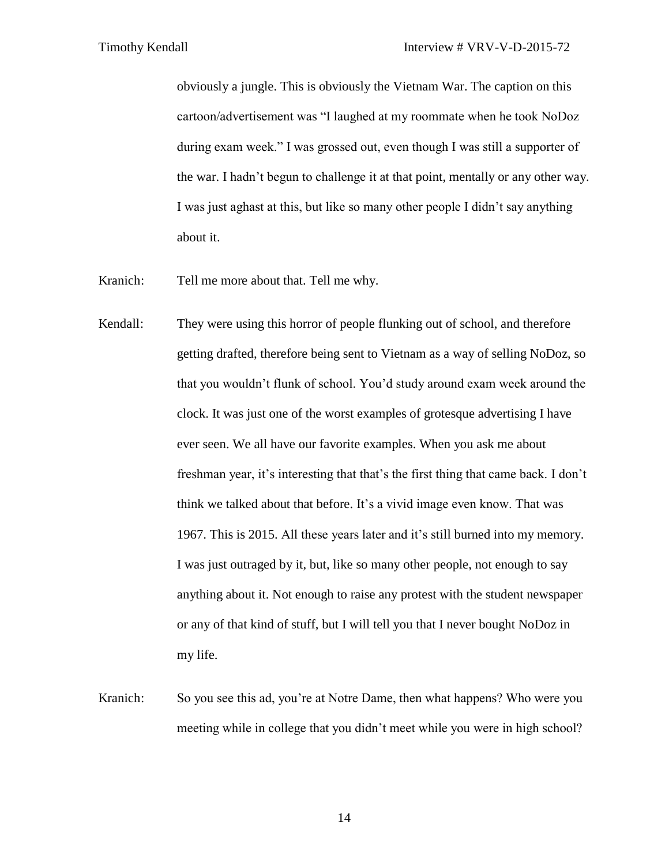obviously a jungle. This is obviously the Vietnam War. The caption on this cartoon/advertisement was "I laughed at my roommate when he took NoDoz during exam week." I was grossed out, even though I was still a supporter of the war. I hadn't begun to challenge it at that point, mentally or any other way. I was just aghast at this, but like so many other people I didn't say anything about it.

- Kranich: Tell me more about that. Tell me why.
- Kendall: They were using this horror of people flunking out of school, and therefore getting drafted, therefore being sent to Vietnam as a way of selling NoDoz, so that you wouldn't flunk of school. You'd study around exam week around the clock. It was just one of the worst examples of grotesque advertising I have ever seen. We all have our favorite examples. When you ask me about freshman year, it's interesting that that's the first thing that came back. I don't think we talked about that before. It's a vivid image even know. That was 1967. This is 2015. All these years later and it's still burned into my memory. I was just outraged by it, but, like so many other people, not enough to say anything about it. Not enough to raise any protest with the student newspaper or any of that kind of stuff, but I will tell you that I never bought NoDoz in my life.
- Kranich: So you see this ad, you're at Notre Dame, then what happens? Who were you meeting while in college that you didn't meet while you were in high school?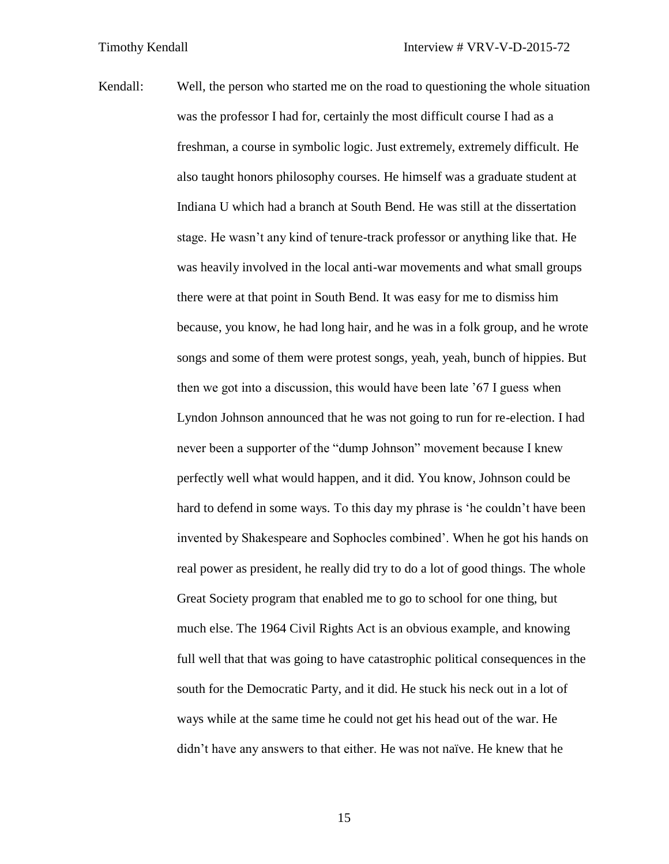Kendall: Well, the person who started me on the road to questioning the whole situation was the professor I had for, certainly the most difficult course I had as a freshman, a course in symbolic logic. Just extremely, extremely difficult. He also taught honors philosophy courses. He himself was a graduate student at Indiana U which had a branch at South Bend. He was still at the dissertation stage. He wasn't any kind of tenure-track professor or anything like that. He was heavily involved in the local anti-war movements and what small groups there were at that point in South Bend. It was easy for me to dismiss him because, you know, he had long hair, and he was in a folk group, and he wrote songs and some of them were protest songs, yeah, yeah, bunch of hippies. But then we got into a discussion, this would have been late '67 I guess when Lyndon Johnson announced that he was not going to run for re-election. I had never been a supporter of the "dump Johnson" movement because I knew perfectly well what would happen, and it did. You know, Johnson could be hard to defend in some ways. To this day my phrase is 'he couldn't have been invented by Shakespeare and Sophocles combined'. When he got his hands on real power as president, he really did try to do a lot of good things. The whole Great Society program that enabled me to go to school for one thing, but much else. The 1964 Civil Rights Act is an obvious example, and knowing full well that that was going to have catastrophic political consequences in the south for the Democratic Party, and it did. He stuck his neck out in a lot of ways while at the same time he could not get his head out of the war. He didn't have any answers to that either. He was not naïve. He knew that he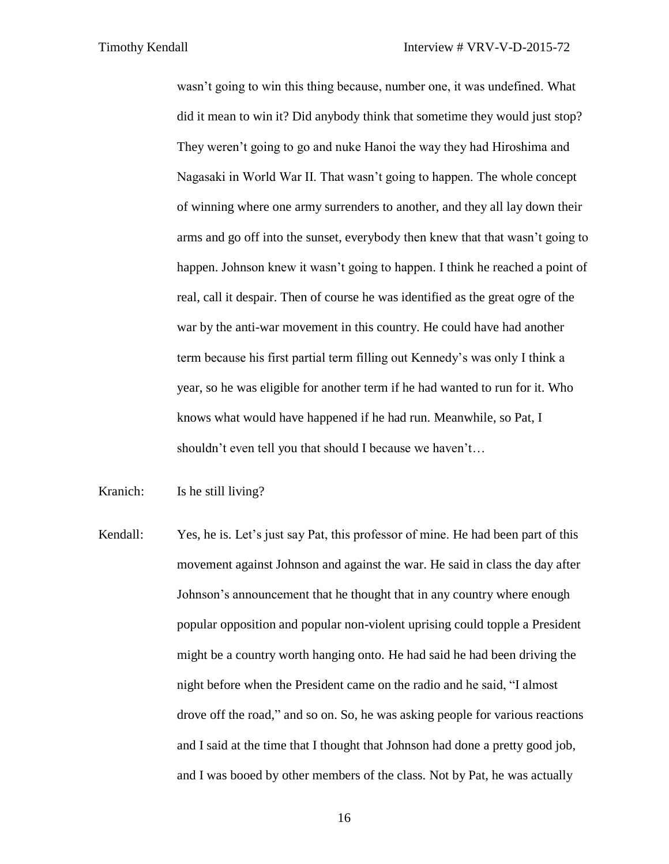wasn't going to win this thing because, number one, it was undefined. What did it mean to win it? Did anybody think that sometime they would just stop? They weren't going to go and nuke Hanoi the way they had Hiroshima and Nagasaki in World War II. That wasn't going to happen. The whole concept of winning where one army surrenders to another, and they all lay down their arms and go off into the sunset, everybody then knew that that wasn't going to happen. Johnson knew it wasn't going to happen. I think he reached a point of real, call it despair. Then of course he was identified as the great ogre of the war by the anti-war movement in this country. He could have had another term because his first partial term filling out Kennedy's was only I think a year, so he was eligible for another term if he had wanted to run for it. Who knows what would have happened if he had run. Meanwhile, so Pat, I shouldn't even tell you that should I because we haven't…

Kranich: Is he still living?

Kendall: Yes, he is. Let's just say Pat, this professor of mine. He had been part of this movement against Johnson and against the war. He said in class the day after Johnson's announcement that he thought that in any country where enough popular opposition and popular non-violent uprising could topple a President might be a country worth hanging onto. He had said he had been driving the night before when the President came on the radio and he said, "I almost drove off the road," and so on. So, he was asking people for various reactions and I said at the time that I thought that Johnson had done a pretty good job, and I was booed by other members of the class. Not by Pat, he was actually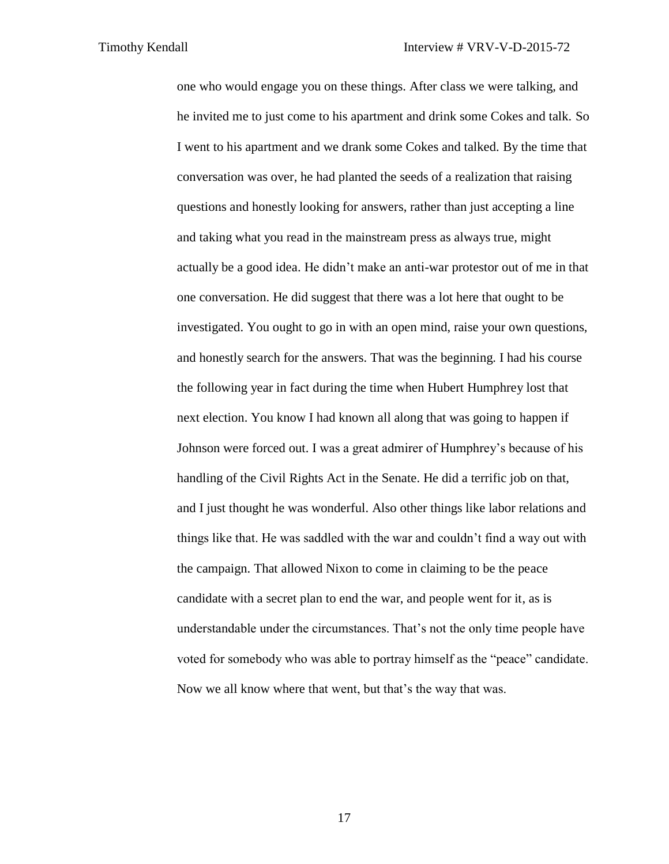one who would engage you on these things. After class we were talking, and he invited me to just come to his apartment and drink some Cokes and talk. So I went to his apartment and we drank some Cokes and talked. By the time that conversation was over, he had planted the seeds of a realization that raising questions and honestly looking for answers, rather than just accepting a line and taking what you read in the mainstream press as always true, might actually be a good idea. He didn't make an anti-war protestor out of me in that one conversation. He did suggest that there was a lot here that ought to be investigated. You ought to go in with an open mind, raise your own questions, and honestly search for the answers. That was the beginning. I had his course the following year in fact during the time when Hubert Humphrey lost that next election. You know I had known all along that was going to happen if Johnson were forced out. I was a great admirer of Humphrey's because of his handling of the Civil Rights Act in the Senate. He did a terrific job on that, and I just thought he was wonderful. Also other things like labor relations and things like that. He was saddled with the war and couldn't find a way out with the campaign. That allowed Nixon to come in claiming to be the peace candidate with a secret plan to end the war, and people went for it, as is understandable under the circumstances. That's not the only time people have voted for somebody who was able to portray himself as the "peace" candidate. Now we all know where that went, but that's the way that was.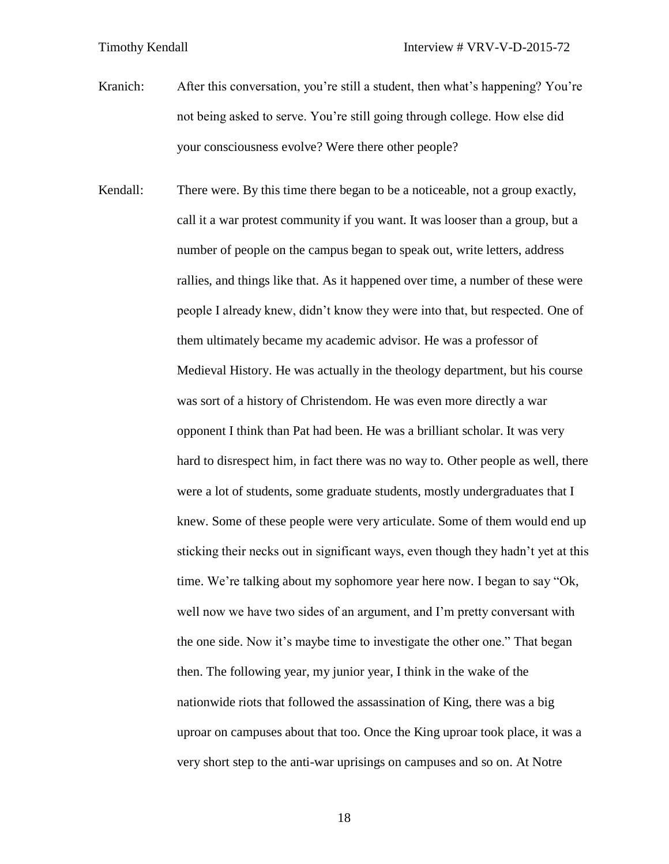Kranich: After this conversation, you're still a student, then what's happening? You're not being asked to serve. You're still going through college. How else did your consciousness evolve? Were there other people?

Kendall: There were. By this time there began to be a noticeable, not a group exactly, call it a war protest community if you want. It was looser than a group, but a number of people on the campus began to speak out, write letters, address rallies, and things like that. As it happened over time, a number of these were people I already knew, didn't know they were into that, but respected. One of them ultimately became my academic advisor. He was a professor of Medieval History. He was actually in the theology department, but his course was sort of a history of Christendom. He was even more directly a war opponent I think than Pat had been. He was a brilliant scholar. It was very hard to disrespect him, in fact there was no way to. Other people as well, there were a lot of students, some graduate students, mostly undergraduates that I knew. Some of these people were very articulate. Some of them would end up sticking their necks out in significant ways, even though they hadn't yet at this time. We're talking about my sophomore year here now. I began to say "Ok, well now we have two sides of an argument, and I'm pretty conversant with the one side. Now it's maybe time to investigate the other one." That began then. The following year, my junior year, I think in the wake of the nationwide riots that followed the assassination of King, there was a big uproar on campuses about that too. Once the King uproar took place, it was a very short step to the anti-war uprisings on campuses and so on. At Notre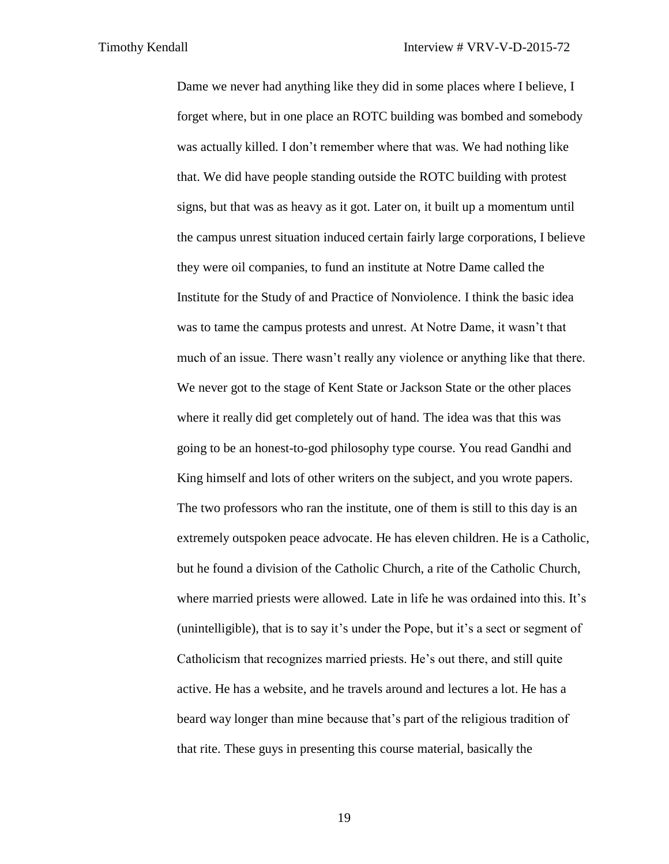Dame we never had anything like they did in some places where I believe, I forget where, but in one place an ROTC building was bombed and somebody was actually killed. I don't remember where that was. We had nothing like that. We did have people standing outside the ROTC building with protest signs, but that was as heavy as it got. Later on, it built up a momentum until the campus unrest situation induced certain fairly large corporations, I believe they were oil companies, to fund an institute at Notre Dame called the Institute for the Study of and Practice of Nonviolence. I think the basic idea was to tame the campus protests and unrest. At Notre Dame, it wasn't that much of an issue. There wasn't really any violence or anything like that there. We never got to the stage of Kent State or Jackson State or the other places where it really did get completely out of hand. The idea was that this was going to be an honest-to-god philosophy type course. You read Gandhi and King himself and lots of other writers on the subject, and you wrote papers. The two professors who ran the institute, one of them is still to this day is an extremely outspoken peace advocate. He has eleven children. He is a Catholic, but he found a division of the Catholic Church, a rite of the Catholic Church, where married priests were allowed. Late in life he was ordained into this. It's (unintelligible), that is to say it's under the Pope, but it's a sect or segment of Catholicism that recognizes married priests. He's out there, and still quite active. He has a website, and he travels around and lectures a lot. He has a beard way longer than mine because that's part of the religious tradition of that rite. These guys in presenting this course material, basically the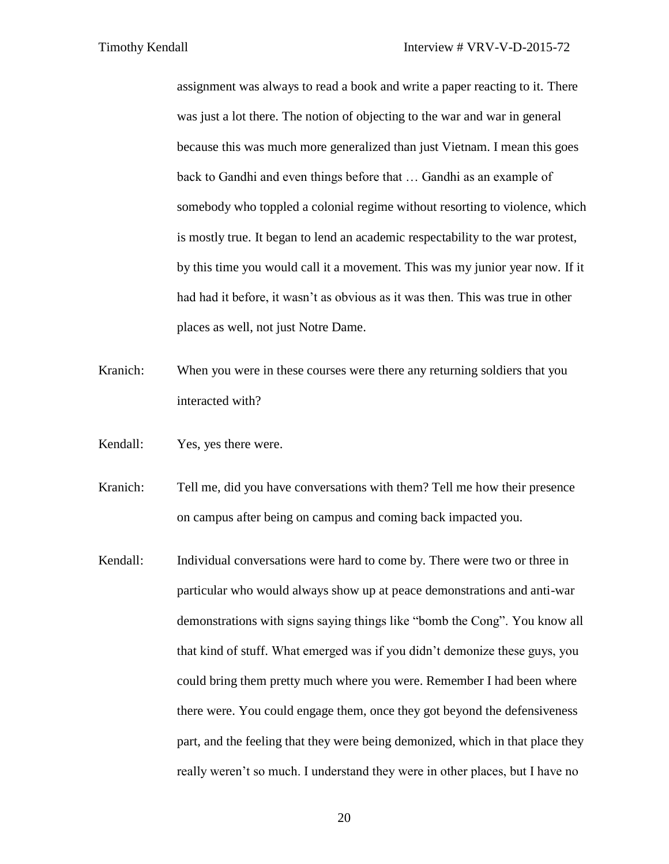assignment was always to read a book and write a paper reacting to it. There was just a lot there. The notion of objecting to the war and war in general because this was much more generalized than just Vietnam. I mean this goes back to Gandhi and even things before that … Gandhi as an example of somebody who toppled a colonial regime without resorting to violence, which is mostly true. It began to lend an academic respectability to the war protest, by this time you would call it a movement. This was my junior year now. If it had had it before, it wasn't as obvious as it was then. This was true in other places as well, not just Notre Dame.

- Kranich: When you were in these courses were there any returning soldiers that you interacted with?
- Kendall: Yes, yes there were.
- Kranich: Tell me, did you have conversations with them? Tell me how their presence on campus after being on campus and coming back impacted you.
- Kendall: Individual conversations were hard to come by. There were two or three in particular who would always show up at peace demonstrations and anti-war demonstrations with signs saying things like "bomb the Cong". You know all that kind of stuff. What emerged was if you didn't demonize these guys, you could bring them pretty much where you were. Remember I had been where there were. You could engage them, once they got beyond the defensiveness part, and the feeling that they were being demonized, which in that place they really weren't so much. I understand they were in other places, but I have no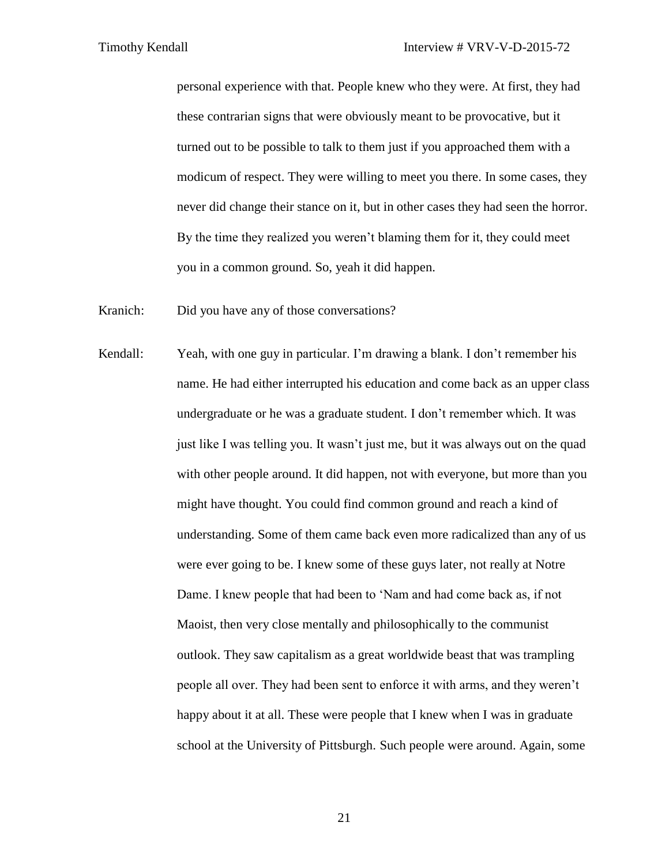personal experience with that. People knew who they were. At first, they had these contrarian signs that were obviously meant to be provocative, but it turned out to be possible to talk to them just if you approached them with a modicum of respect. They were willing to meet you there. In some cases, they never did change their stance on it, but in other cases they had seen the horror. By the time they realized you weren't blaming them for it, they could meet you in a common ground. So, yeah it did happen.

Kranich: Did you have any of those conversations?

Kendall: Yeah, with one guy in particular. I'm drawing a blank. I don't remember his name. He had either interrupted his education and come back as an upper class undergraduate or he was a graduate student. I don't remember which. It was just like I was telling you. It wasn't just me, but it was always out on the quad with other people around. It did happen, not with everyone, but more than you might have thought. You could find common ground and reach a kind of understanding. Some of them came back even more radicalized than any of us were ever going to be. I knew some of these guys later, not really at Notre Dame. I knew people that had been to 'Nam and had come back as, if not Maoist, then very close mentally and philosophically to the communist outlook. They saw capitalism as a great worldwide beast that was trampling people all over. They had been sent to enforce it with arms, and they weren't happy about it at all. These were people that I knew when I was in graduate school at the University of Pittsburgh. Such people were around. Again, some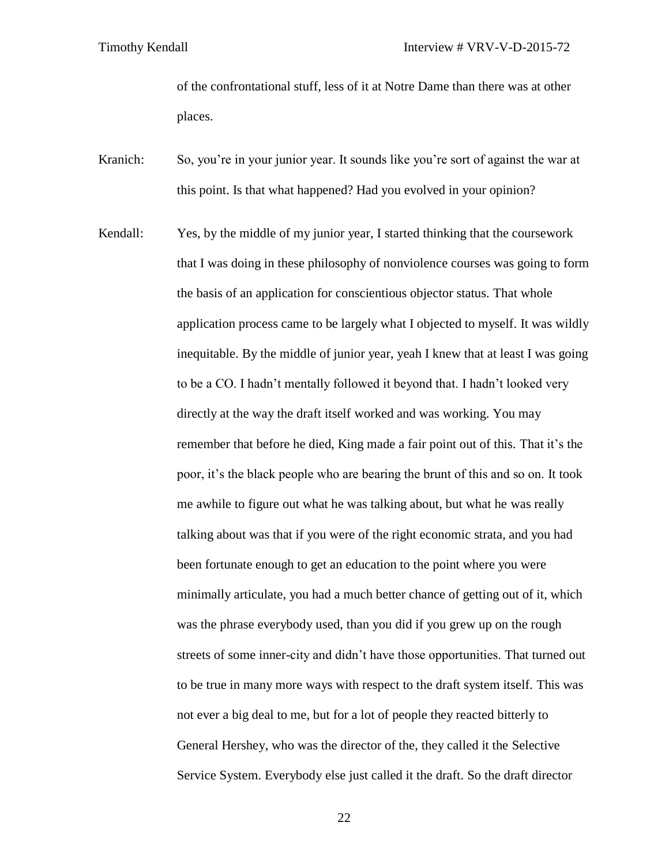of the confrontational stuff, less of it at Notre Dame than there was at other places.

- Kranich: So, you're in your junior year. It sounds like you're sort of against the war at this point. Is that what happened? Had you evolved in your opinion?
- Kendall: Yes, by the middle of my junior year, I started thinking that the coursework that I was doing in these philosophy of nonviolence courses was going to form the basis of an application for conscientious objector status. That whole application process came to be largely what I objected to myself. It was wildly inequitable. By the middle of junior year, yeah I knew that at least I was going to be a CO. I hadn't mentally followed it beyond that. I hadn't looked very directly at the way the draft itself worked and was working. You may remember that before he died, King made a fair point out of this. That it's the poor, it's the black people who are bearing the brunt of this and so on. It took me awhile to figure out what he was talking about, but what he was really talking about was that if you were of the right economic strata, and you had been fortunate enough to get an education to the point where you were minimally articulate, you had a much better chance of getting out of it, which was the phrase everybody used, than you did if you grew up on the rough streets of some inner-city and didn't have those opportunities. That turned out to be true in many more ways with respect to the draft system itself. This was not ever a big deal to me, but for a lot of people they reacted bitterly to General Hershey, who was the director of the, they called it the Selective Service System. Everybody else just called it the draft. So the draft director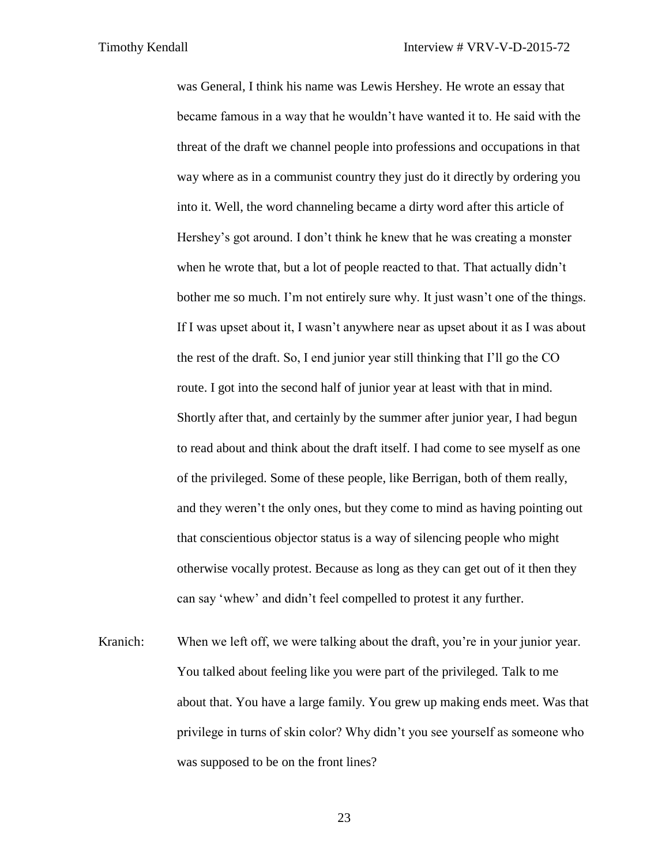was General, I think his name was Lewis Hershey. He wrote an essay that became famous in a way that he wouldn't have wanted it to. He said with the threat of the draft we channel people into professions and occupations in that way where as in a communist country they just do it directly by ordering you into it. Well, the word channeling became a dirty word after this article of Hershey's got around. I don't think he knew that he was creating a monster when he wrote that, but a lot of people reacted to that. That actually didn't bother me so much. I'm not entirely sure why. It just wasn't one of the things. If I was upset about it, I wasn't anywhere near as upset about it as I was about the rest of the draft. So, I end junior year still thinking that I'll go the CO route. I got into the second half of junior year at least with that in mind. Shortly after that, and certainly by the summer after junior year, I had begun to read about and think about the draft itself. I had come to see myself as one of the privileged. Some of these people, like Berrigan, both of them really, and they weren't the only ones, but they come to mind as having pointing out that conscientious objector status is a way of silencing people who might otherwise vocally protest. Because as long as they can get out of it then they can say 'whew' and didn't feel compelled to protest it any further.

Kranich: When we left off, we were talking about the draft, you're in your junior year. You talked about feeling like you were part of the privileged. Talk to me about that. You have a large family. You grew up making ends meet. Was that privilege in turns of skin color? Why didn't you see yourself as someone who was supposed to be on the front lines?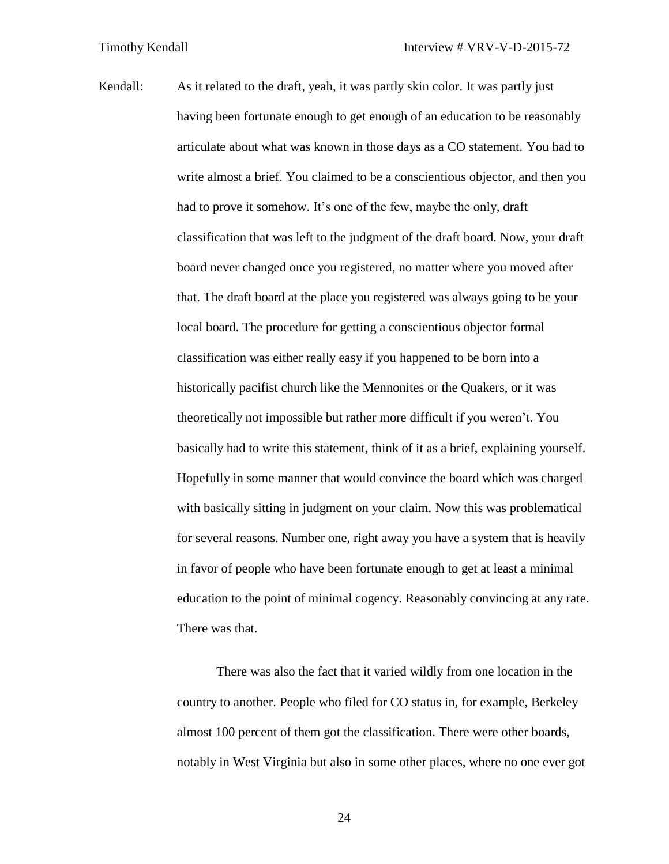Kendall: As it related to the draft, yeah, it was partly skin color. It was partly just having been fortunate enough to get enough of an education to be reasonably articulate about what was known in those days as a CO statement. You had to write almost a brief. You claimed to be a conscientious objector, and then you had to prove it somehow. It's one of the few, maybe the only, draft classification that was left to the judgment of the draft board. Now, your draft board never changed once you registered, no matter where you moved after that. The draft board at the place you registered was always going to be your local board. The procedure for getting a conscientious objector formal classification was either really easy if you happened to be born into a historically pacifist church like the Mennonites or the Quakers, or it was theoretically not impossible but rather more difficult if you weren't. You basically had to write this statement, think of it as a brief, explaining yourself. Hopefully in some manner that would convince the board which was charged with basically sitting in judgment on your claim. Now this was problematical for several reasons. Number one, right away you have a system that is heavily in favor of people who have been fortunate enough to get at least a minimal education to the point of minimal cogency. Reasonably convincing at any rate. There was that.

> There was also the fact that it varied wildly from one location in the country to another. People who filed for CO status in, for example, Berkeley almost 100 percent of them got the classification. There were other boards, notably in West Virginia but also in some other places, where no one ever got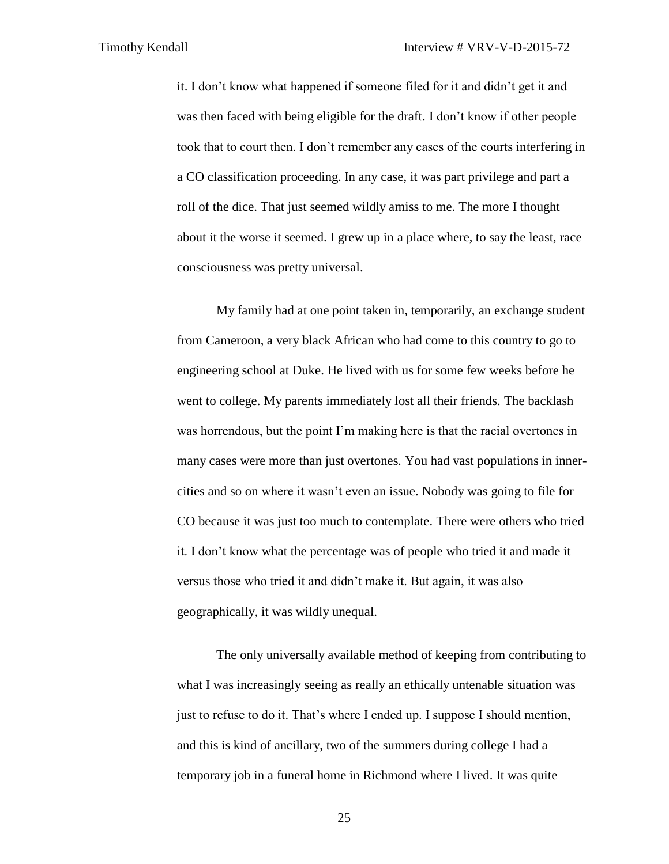it. I don't know what happened if someone filed for it and didn't get it and was then faced with being eligible for the draft. I don't know if other people took that to court then. I don't remember any cases of the courts interfering in a CO classification proceeding. In any case, it was part privilege and part a roll of the dice. That just seemed wildly amiss to me. The more I thought about it the worse it seemed. I grew up in a place where, to say the least, race consciousness was pretty universal.

My family had at one point taken in, temporarily, an exchange student from Cameroon, a very black African who had come to this country to go to engineering school at Duke. He lived with us for some few weeks before he went to college. My parents immediately lost all their friends. The backlash was horrendous, but the point I'm making here is that the racial overtones in many cases were more than just overtones. You had vast populations in innercities and so on where it wasn't even an issue. Nobody was going to file for CO because it was just too much to contemplate. There were others who tried it. I don't know what the percentage was of people who tried it and made it versus those who tried it and didn't make it. But again, it was also geographically, it was wildly unequal.

The only universally available method of keeping from contributing to what I was increasingly seeing as really an ethically untenable situation was just to refuse to do it. That's where I ended up. I suppose I should mention, and this is kind of ancillary, two of the summers during college I had a temporary job in a funeral home in Richmond where I lived. It was quite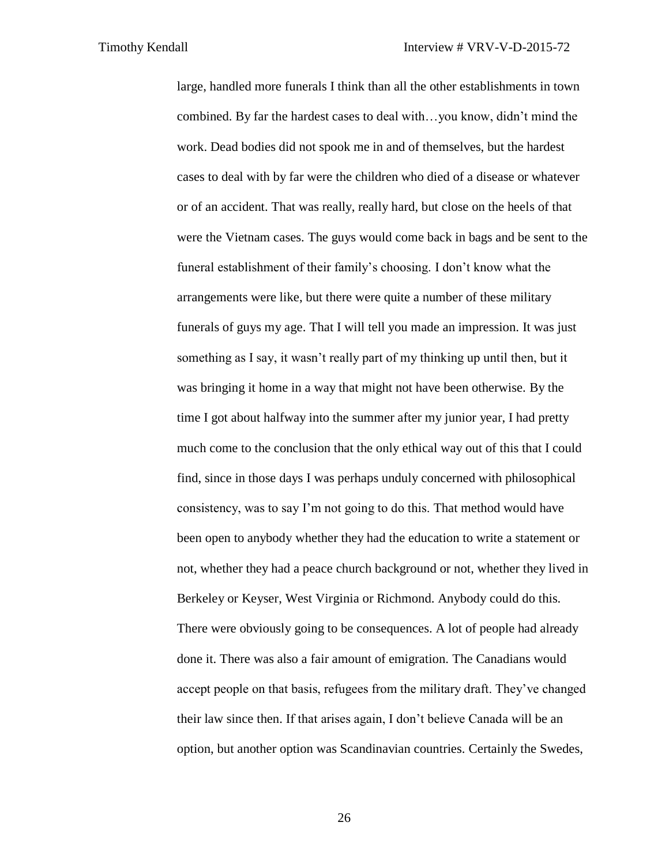large, handled more funerals I think than all the other establishments in town combined. By far the hardest cases to deal with…you know, didn't mind the work. Dead bodies did not spook me in and of themselves, but the hardest cases to deal with by far were the children who died of a disease or whatever or of an accident. That was really, really hard, but close on the heels of that were the Vietnam cases. The guys would come back in bags and be sent to the funeral establishment of their family's choosing. I don't know what the arrangements were like, but there were quite a number of these military funerals of guys my age. That I will tell you made an impression. It was just something as I say, it wasn't really part of my thinking up until then, but it was bringing it home in a way that might not have been otherwise. By the time I got about halfway into the summer after my junior year, I had pretty much come to the conclusion that the only ethical way out of this that I could find, since in those days I was perhaps unduly concerned with philosophical consistency, was to say I'm not going to do this. That method would have been open to anybody whether they had the education to write a statement or not, whether they had a peace church background or not, whether they lived in Berkeley or Keyser, West Virginia or Richmond. Anybody could do this. There were obviously going to be consequences. A lot of people had already done it. There was also a fair amount of emigration. The Canadians would accept people on that basis, refugees from the military draft. They've changed their law since then. If that arises again, I don't believe Canada will be an option, but another option was Scandinavian countries. Certainly the Swedes,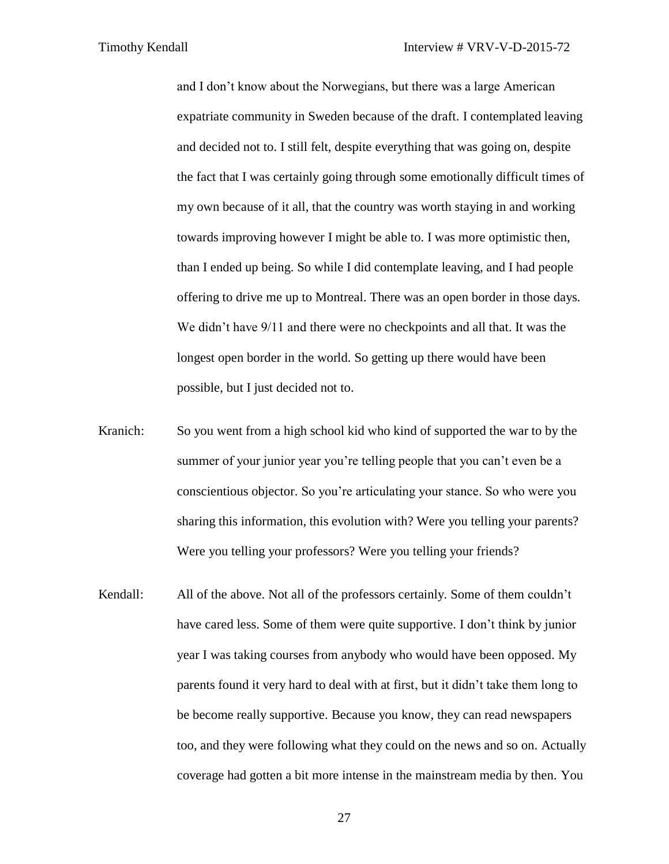and I don't know about the Norwegians, but there was a large American expatriate community in Sweden because of the draft. I contemplated leaving and decided not to. I still felt, despite everything that was going on, despite the fact that I was certainly going through some emotionally difficult times of my own because of it all, that the country was worth staying in and working towards improving however I might be able to. I was more optimistic then, than I ended up being. So while I did contemplate leaving, and I had people offering to drive me up to Montreal. There was an open border in those days. We didn't have  $9/11$  and there were no checkpoints and all that. It was the longest open border in the world. So getting up there would have been possible, but I just decided not to.

- Kranich: So you went from a high school kid who kind of supported the war to by the summer of your junior year you're telling people that you can't even be a conscientious objector. So you're articulating your stance. So who were you sharing this information, this evolution with? Were you telling your parents? Were you telling your professors? Were you telling your friends?
- Kendall: All of the above. Not all of the professors certainly. Some of them couldn't have cared less. Some of them were quite supportive. I don't think by junior year I was taking courses from anybody who would have been opposed. My parents found it very hard to deal with at first, but it didn't take them long to be become really supportive. Because you know, they can read newspapers too, and they were following what they could on the news and so on. Actually coverage had gotten a bit more intense in the mainstream media by then. You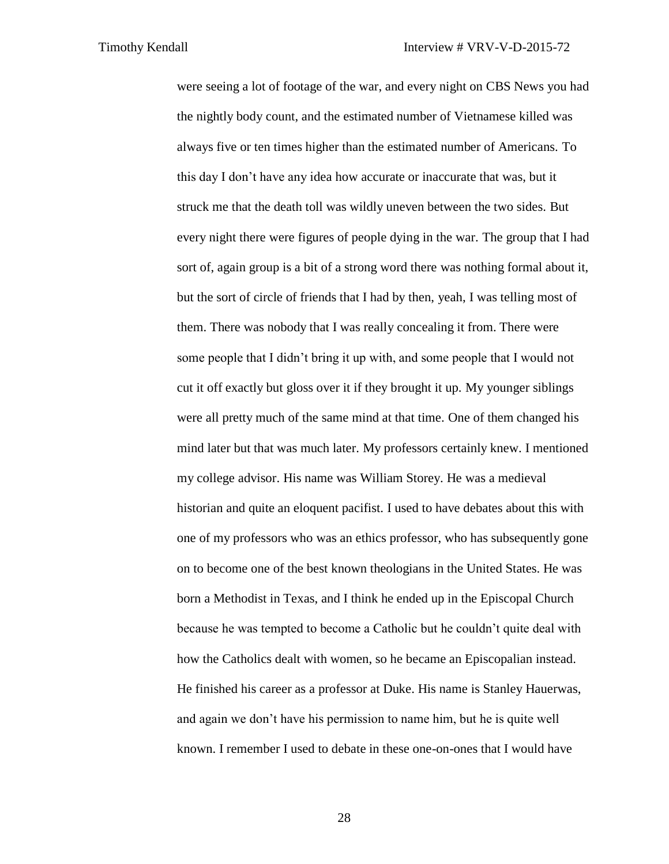were seeing a lot of footage of the war, and every night on CBS News you had the nightly body count, and the estimated number of Vietnamese killed was always five or ten times higher than the estimated number of Americans. To this day I don't have any idea how accurate or inaccurate that was, but it struck me that the death toll was wildly uneven between the two sides. But every night there were figures of people dying in the war. The group that I had sort of, again group is a bit of a strong word there was nothing formal about it, but the sort of circle of friends that I had by then, yeah, I was telling most of them. There was nobody that I was really concealing it from. There were some people that I didn't bring it up with, and some people that I would not cut it off exactly but gloss over it if they brought it up. My younger siblings were all pretty much of the same mind at that time. One of them changed his mind later but that was much later. My professors certainly knew. I mentioned my college advisor. His name was William Storey. He was a medieval historian and quite an eloquent pacifist. I used to have debates about this with one of my professors who was an ethics professor, who has subsequently gone on to become one of the best known theologians in the United States. He was born a Methodist in Texas, and I think he ended up in the Episcopal Church because he was tempted to become a Catholic but he couldn't quite deal with how the Catholics dealt with women, so he became an Episcopalian instead. He finished his career as a professor at Duke. His name is Stanley Hauerwas, and again we don't have his permission to name him, but he is quite well known. I remember I used to debate in these one-on-ones that I would have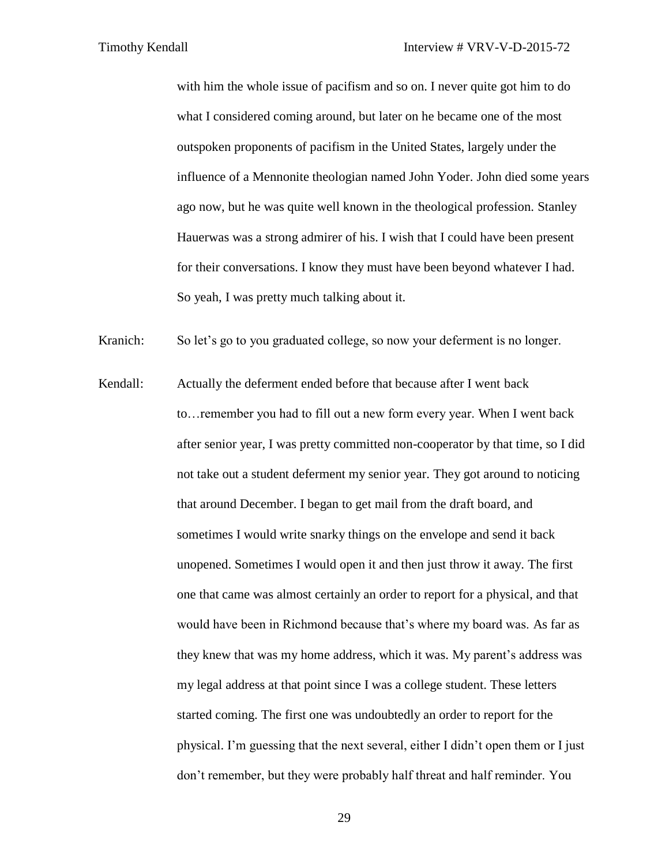with him the whole issue of pacifism and so on. I never quite got him to do what I considered coming around, but later on he became one of the most outspoken proponents of pacifism in the United States, largely under the influence of a Mennonite theologian named John Yoder. John died some years ago now, but he was quite well known in the theological profession. Stanley Hauerwas was a strong admirer of his. I wish that I could have been present for their conversations. I know they must have been beyond whatever I had. So yeah, I was pretty much talking about it.

Kranich: So let's go to you graduated college, so now your deferment is no longer.

Kendall: Actually the deferment ended before that because after I went back to…remember you had to fill out a new form every year. When I went back after senior year, I was pretty committed non-cooperator by that time, so I did not take out a student deferment my senior year. They got around to noticing that around December. I began to get mail from the draft board, and sometimes I would write snarky things on the envelope and send it back unopened. Sometimes I would open it and then just throw it away. The first one that came was almost certainly an order to report for a physical, and that would have been in Richmond because that's where my board was. As far as they knew that was my home address, which it was. My parent's address was my legal address at that point since I was a college student. These letters started coming. The first one was undoubtedly an order to report for the physical. I'm guessing that the next several, either I didn't open them or I just don't remember, but they were probably half threat and half reminder. You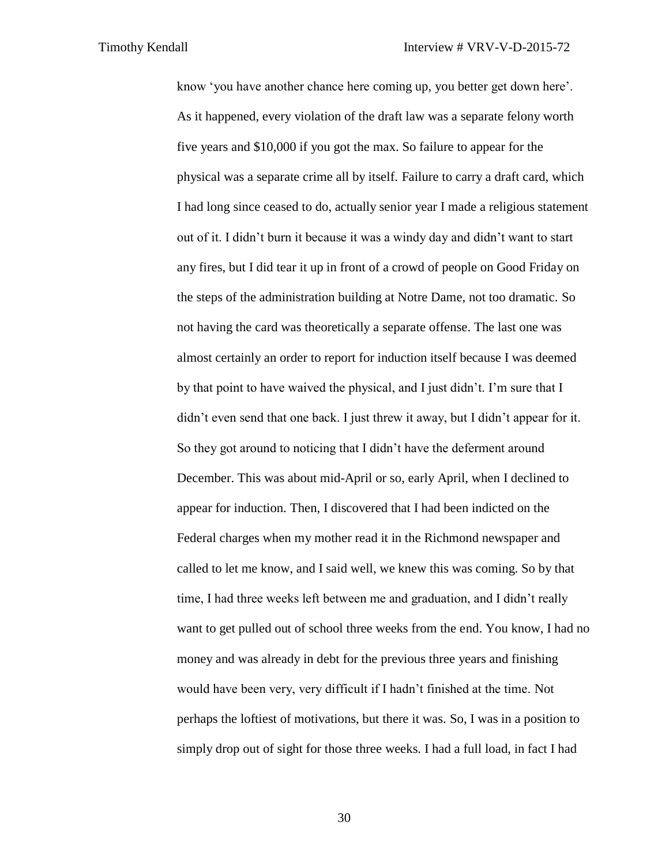know 'you have another chance here coming up, you better get down here'. As it happened, every violation of the draft law was a separate felony worth five years and \$10,000 if you got the max. So failure to appear for the physical was a separate crime all by itself. Failure to carry a draft card, which I had long since ceased to do, actually senior year I made a religious statement out of it. I didn't burn it because it was a windy day and didn't want to start any fires, but I did tear it up in front of a crowd of people on Good Friday on the steps of the administration building at Notre Dame, not too dramatic. So not having the card was theoretically a separate offense. The last one was almost certainly an order to report for induction itself because I was deemed by that point to have waived the physical, and I just didn't. I'm sure that I didn't even send that one back. I just threw it away, but I didn't appear for it. So they got around to noticing that I didn't have the deferment around December. This was about mid-April or so, early April, when I declined to appear for induction. Then, I discovered that I had been indicted on the Federal charges when my mother read it in the Richmond newspaper and called to let me know, and I said well, we knew this was coming. So by that time, I had three weeks left between me and graduation, and I didn't really want to get pulled out of school three weeks from the end. You know, I had no money and was already in debt for the previous three years and finishing would have been very, very difficult if I hadn't finished at the time. Not perhaps the loftiest of motivations, but there it was. So, I was in a position to simply drop out of sight for those three weeks. I had a full load, in fact I had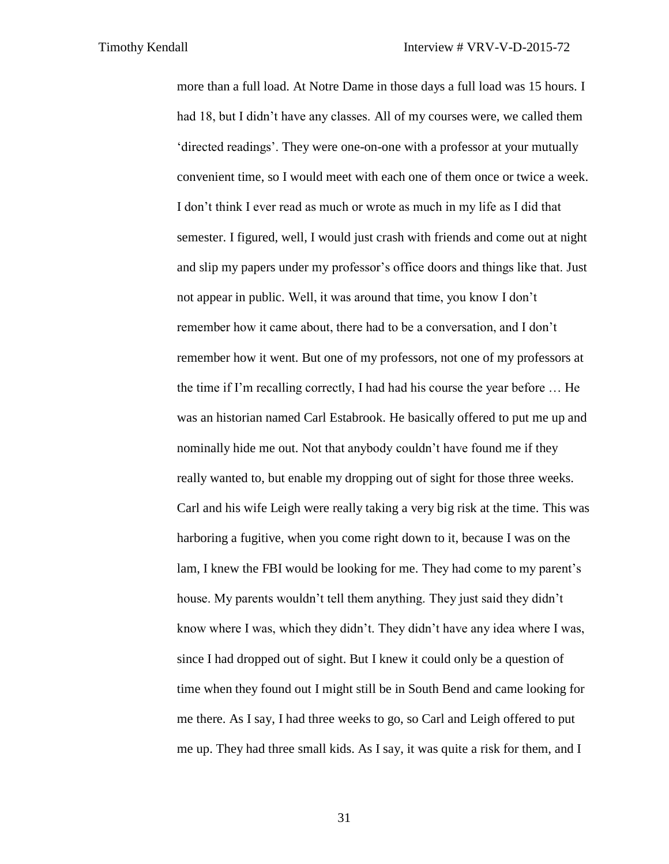more than a full load. At Notre Dame in those days a full load was 15 hours. I had 18, but I didn't have any classes. All of my courses were, we called them 'directed readings'. They were one-on-one with a professor at your mutually convenient time, so I would meet with each one of them once or twice a week. I don't think I ever read as much or wrote as much in my life as I did that semester. I figured, well, I would just crash with friends and come out at night and slip my papers under my professor's office doors and things like that. Just not appear in public. Well, it was around that time, you know I don't remember how it came about, there had to be a conversation, and I don't remember how it went. But one of my professors, not one of my professors at the time if I'm recalling correctly, I had had his course the year before … He was an historian named Carl Estabrook. He basically offered to put me up and nominally hide me out. Not that anybody couldn't have found me if they really wanted to, but enable my dropping out of sight for those three weeks. Carl and his wife Leigh were really taking a very big risk at the time. This was harboring a fugitive, when you come right down to it, because I was on the lam, I knew the FBI would be looking for me. They had come to my parent's house. My parents wouldn't tell them anything. They just said they didn't know where I was, which they didn't. They didn't have any idea where I was, since I had dropped out of sight. But I knew it could only be a question of time when they found out I might still be in South Bend and came looking for me there. As I say, I had three weeks to go, so Carl and Leigh offered to put me up. They had three small kids. As I say, it was quite a risk for them, and I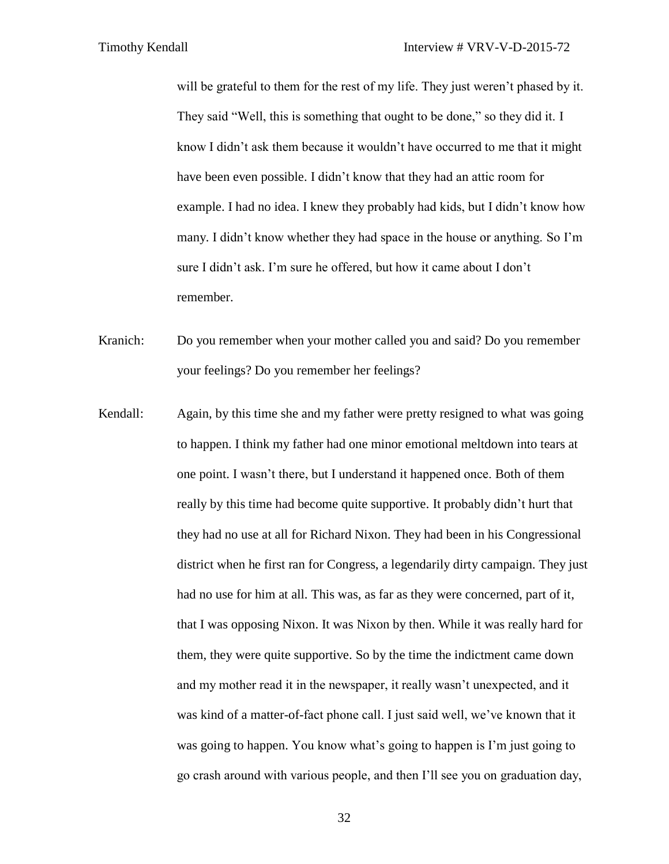will be grateful to them for the rest of my life. They just weren't phased by it. They said "Well, this is something that ought to be done," so they did it. I know I didn't ask them because it wouldn't have occurred to me that it might have been even possible. I didn't know that they had an attic room for example. I had no idea. I knew they probably had kids, but I didn't know how many. I didn't know whether they had space in the house or anything. So I'm sure I didn't ask. I'm sure he offered, but how it came about I don't remember.

Kranich: Do you remember when your mother called you and said? Do you remember your feelings? Do you remember her feelings?

Kendall: Again, by this time she and my father were pretty resigned to what was going to happen. I think my father had one minor emotional meltdown into tears at one point. I wasn't there, but I understand it happened once. Both of them really by this time had become quite supportive. It probably didn't hurt that they had no use at all for Richard Nixon. They had been in his Congressional district when he first ran for Congress, a legendarily dirty campaign. They just had no use for him at all. This was, as far as they were concerned, part of it, that I was opposing Nixon. It was Nixon by then. While it was really hard for them, they were quite supportive. So by the time the indictment came down and my mother read it in the newspaper, it really wasn't unexpected, and it was kind of a matter-of-fact phone call. I just said well, we've known that it was going to happen. You know what's going to happen is I'm just going to go crash around with various people, and then I'll see you on graduation day,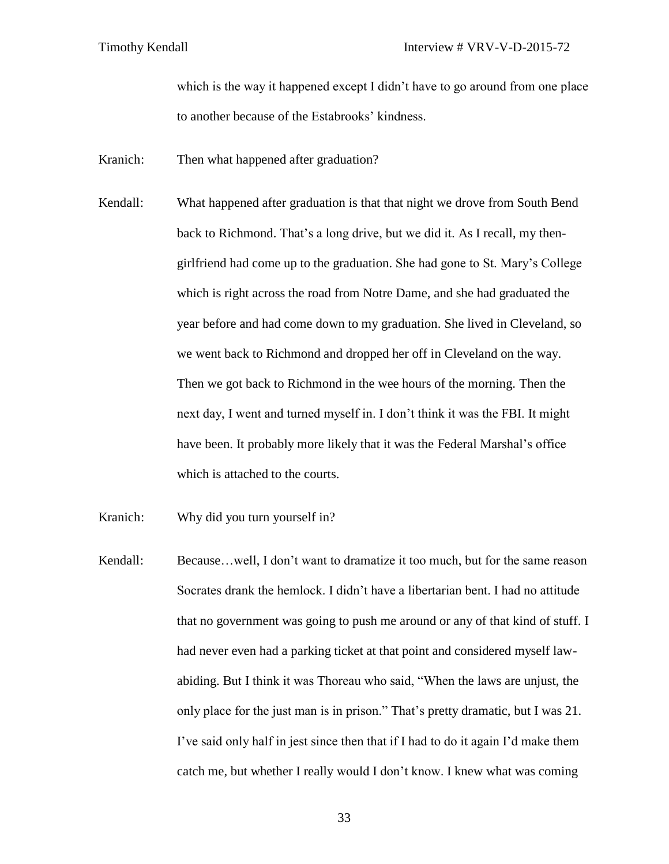which is the way it happened except I didn't have to go around from one place to another because of the Estabrooks' kindness.

Kranich: Then what happened after graduation?

Kendall: What happened after graduation is that that night we drove from South Bend back to Richmond. That's a long drive, but we did it. As I recall, my thengirlfriend had come up to the graduation. She had gone to St. Mary's College which is right across the road from Notre Dame, and she had graduated the year before and had come down to my graduation. She lived in Cleveland, so we went back to Richmond and dropped her off in Cleveland on the way. Then we got back to Richmond in the wee hours of the morning. Then the next day, I went and turned myself in. I don't think it was the FBI. It might have been. It probably more likely that it was the Federal Marshal's office which is attached to the courts.

Kranich: Why did you turn yourself in?

Kendall: Because...well, I don't want to dramatize it too much, but for the same reason Socrates drank the hemlock. I didn't have a libertarian bent. I had no attitude that no government was going to push me around or any of that kind of stuff. I had never even had a parking ticket at that point and considered myself lawabiding. But I think it was Thoreau who said, "When the laws are unjust, the only place for the just man is in prison." That's pretty dramatic, but I was 21. I've said only half in jest since then that if I had to do it again I'd make them catch me, but whether I really would I don't know. I knew what was coming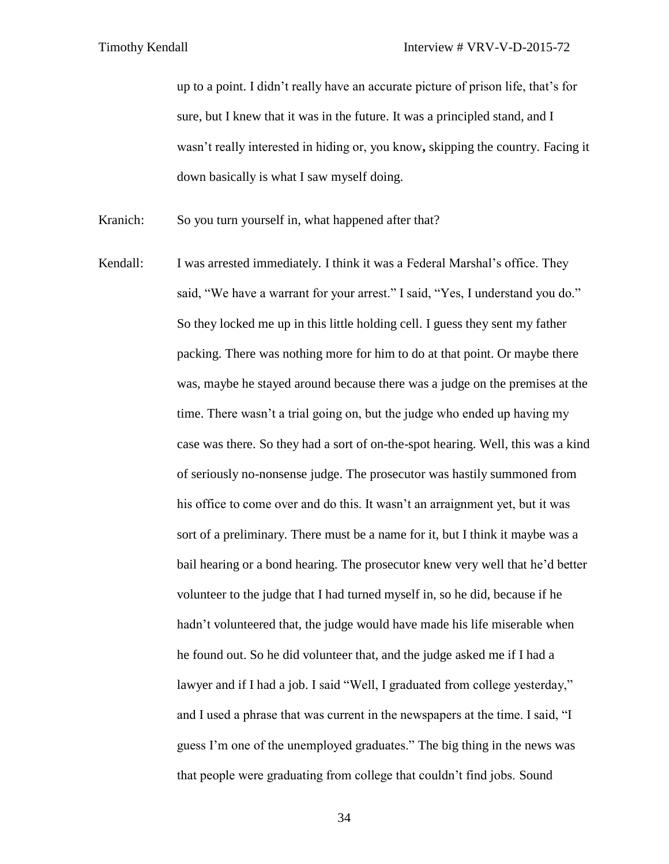up to a point. I didn't really have an accurate picture of prison life, that's for sure, but I knew that it was in the future. It was a principled stand, and I wasn't really interested in hiding or, you know**,** skipping the country. Facing it down basically is what I saw myself doing.

Kranich: So you turn yourself in, what happened after that?

Kendall: I was arrested immediately. I think it was a Federal Marshal's office. They said, "We have a warrant for your arrest." I said, "Yes, I understand you do." So they locked me up in this little holding cell. I guess they sent my father packing. There was nothing more for him to do at that point. Or maybe there was, maybe he stayed around because there was a judge on the premises at the time. There wasn't a trial going on, but the judge who ended up having my case was there. So they had a sort of on-the-spot hearing. Well, this was a kind of seriously no-nonsense judge. The prosecutor was hastily summoned from his office to come over and do this. It wasn't an arraignment yet, but it was sort of a preliminary. There must be a name for it, but I think it maybe was a bail hearing or a bond hearing. The prosecutor knew very well that he'd better volunteer to the judge that I had turned myself in, so he did, because if he hadn't volunteered that, the judge would have made his life miserable when he found out. So he did volunteer that, and the judge asked me if I had a lawyer and if I had a job. I said "Well, I graduated from college yesterday," and I used a phrase that was current in the newspapers at the time. I said, "I guess I'm one of the unemployed graduates." The big thing in the news was that people were graduating from college that couldn't find jobs. Sound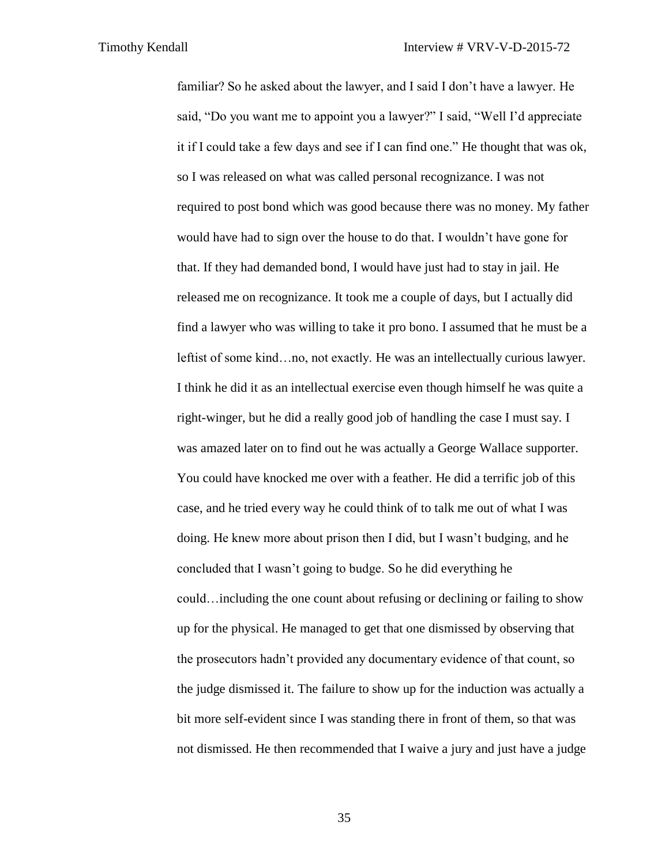familiar? So he asked about the lawyer, and I said I don't have a lawyer. He said, "Do you want me to appoint you a lawyer?" I said, "Well I'd appreciate it if I could take a few days and see if I can find one." He thought that was ok, so I was released on what was called personal recognizance. I was not required to post bond which was good because there was no money. My father would have had to sign over the house to do that. I wouldn't have gone for that. If they had demanded bond, I would have just had to stay in jail. He released me on recognizance. It took me a couple of days, but I actually did find a lawyer who was willing to take it pro bono. I assumed that he must be a leftist of some kind…no, not exactly. He was an intellectually curious lawyer. I think he did it as an intellectual exercise even though himself he was quite a right-winger, but he did a really good job of handling the case I must say. I was amazed later on to find out he was actually a George Wallace supporter. You could have knocked me over with a feather. He did a terrific job of this case, and he tried every way he could think of to talk me out of what I was doing. He knew more about prison then I did, but I wasn't budging, and he concluded that I wasn't going to budge. So he did everything he could…including the one count about refusing or declining or failing to show up for the physical. He managed to get that one dismissed by observing that the prosecutors hadn't provided any documentary evidence of that count, so the judge dismissed it. The failure to show up for the induction was actually a bit more self-evident since I was standing there in front of them, so that was not dismissed. He then recommended that I waive a jury and just have a judge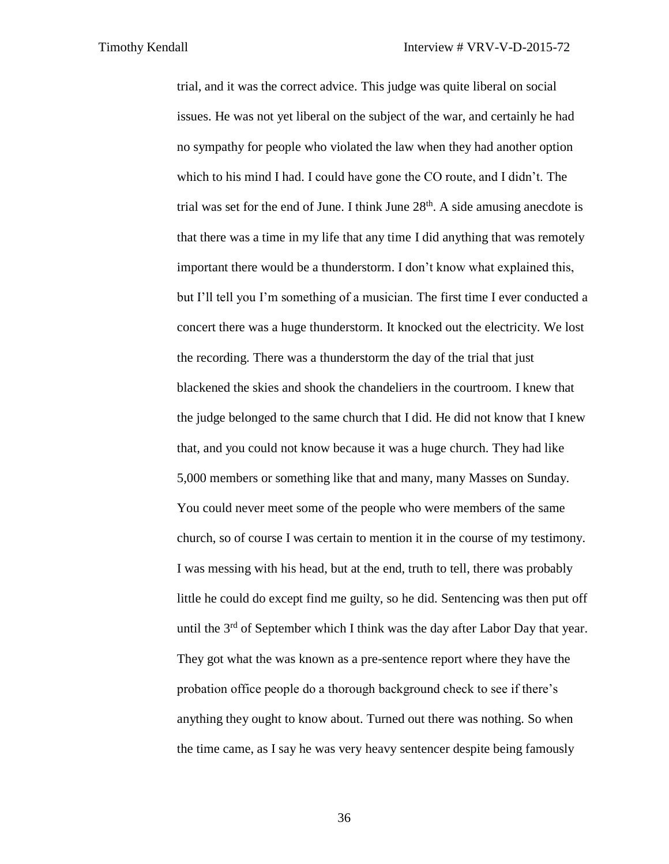trial, and it was the correct advice. This judge was quite liberal on social issues. He was not yet liberal on the subject of the war, and certainly he had no sympathy for people who violated the law when they had another option which to his mind I had. I could have gone the CO route, and I didn't. The trial was set for the end of June. I think June  $28<sup>th</sup>$ . A side amusing anecdote is that there was a time in my life that any time I did anything that was remotely important there would be a thunderstorm. I don't know what explained this, but I'll tell you I'm something of a musician. The first time I ever conducted a concert there was a huge thunderstorm. It knocked out the electricity. We lost the recording. There was a thunderstorm the day of the trial that just blackened the skies and shook the chandeliers in the courtroom. I knew that the judge belonged to the same church that I did. He did not know that I knew that, and you could not know because it was a huge church. They had like 5,000 members or something like that and many, many Masses on Sunday. You could never meet some of the people who were members of the same church, so of course I was certain to mention it in the course of my testimony. I was messing with his head, but at the end, truth to tell, there was probably little he could do except find me guilty, so he did. Sentencing was then put off until the  $3<sup>rd</sup>$  of September which I think was the day after Labor Day that year. They got what the was known as a pre-sentence report where they have the probation office people do a thorough background check to see if there's anything they ought to know about. Turned out there was nothing. So when the time came, as I say he was very heavy sentencer despite being famously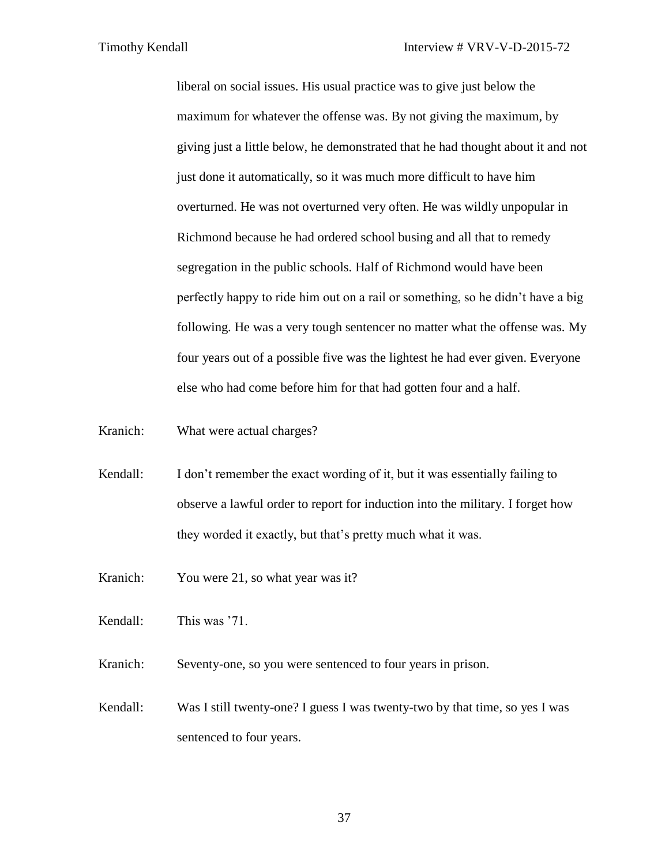liberal on social issues. His usual practice was to give just below the maximum for whatever the offense was. By not giving the maximum, by giving just a little below, he demonstrated that he had thought about it and not just done it automatically, so it was much more difficult to have him overturned. He was not overturned very often. He was wildly unpopular in Richmond because he had ordered school busing and all that to remedy segregation in the public schools. Half of Richmond would have been perfectly happy to ride him out on a rail or something, so he didn't have a big following. He was a very tough sentencer no matter what the offense was. My four years out of a possible five was the lightest he had ever given. Everyone else who had come before him for that had gotten four and a half.

Kranich: What were actual charges?

- Kendall: I don't remember the exact wording of it, but it was essentially failing to observe a lawful order to report for induction into the military. I forget how they worded it exactly, but that's pretty much what it was.
- Kranich: You were 21, so what year was it?

Kendall: This was '71.

Kranich: Seventy-one, so you were sentenced to four years in prison.

Kendall: Was I still twenty-one? I guess I was twenty-two by that time, so yes I was sentenced to four years.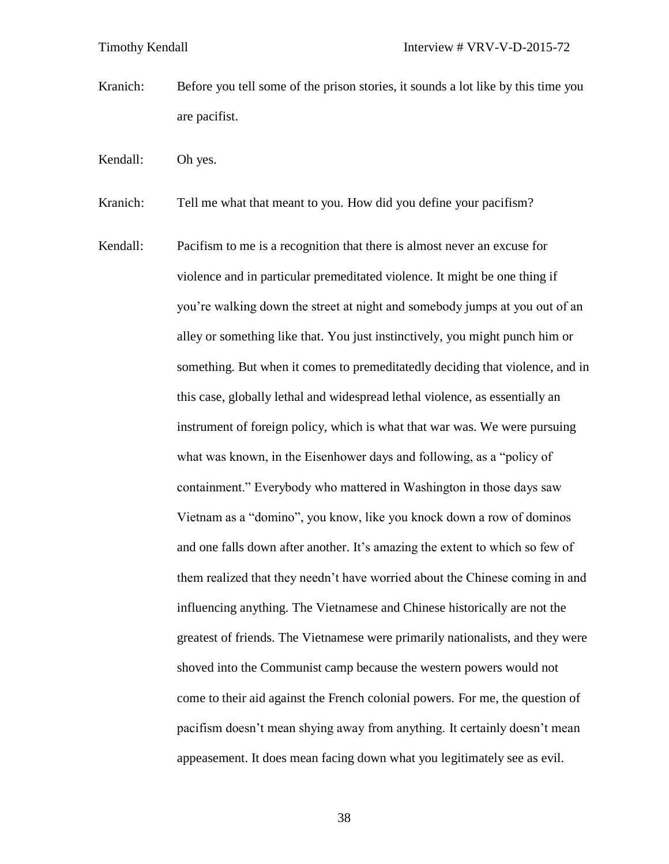- Kranich: Before you tell some of the prison stories, it sounds a lot like by this time you are pacifist.
- Kendall: Oh yes.

Kranich: Tell me what that meant to you. How did you define your pacifism?

Kendall: Pacifism to me is a recognition that there is almost never an excuse for violence and in particular premeditated violence. It might be one thing if you're walking down the street at night and somebody jumps at you out of an alley or something like that. You just instinctively, you might punch him or something. But when it comes to premeditatedly deciding that violence, and in this case, globally lethal and widespread lethal violence, as essentially an instrument of foreign policy, which is what that war was. We were pursuing what was known, in the Eisenhower days and following, as a "policy of containment." Everybody who mattered in Washington in those days saw Vietnam as a "domino", you know, like you knock down a row of dominos and one falls down after another. It's amazing the extent to which so few of them realized that they needn't have worried about the Chinese coming in and influencing anything. The Vietnamese and Chinese historically are not the greatest of friends. The Vietnamese were primarily nationalists, and they were shoved into the Communist camp because the western powers would not come to their aid against the French colonial powers. For me, the question of pacifism doesn't mean shying away from anything. It certainly doesn't mean appeasement. It does mean facing down what you legitimately see as evil.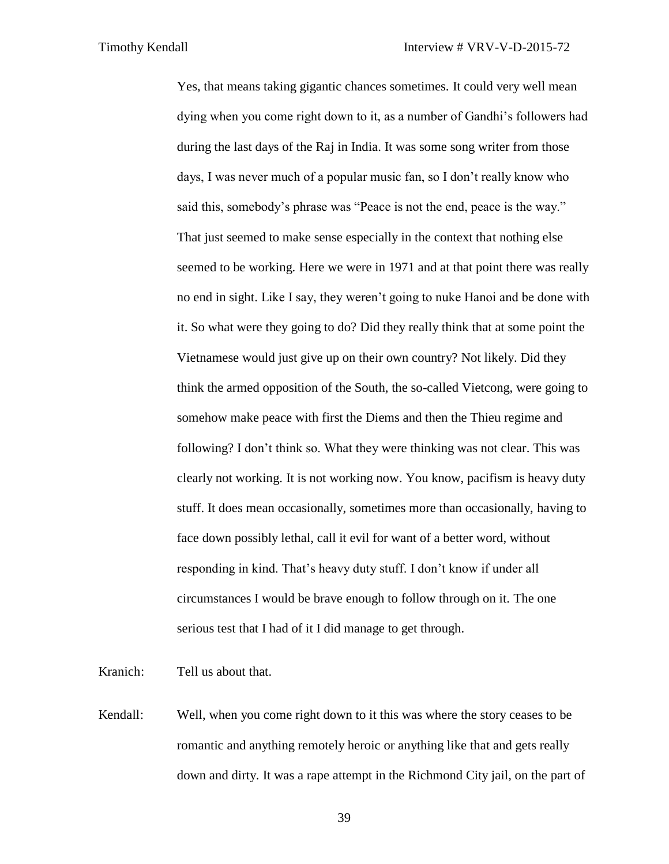Yes, that means taking gigantic chances sometimes. It could very well mean dying when you come right down to it, as a number of Gandhi's followers had during the last days of the Raj in India. It was some song writer from those days, I was never much of a popular music fan, so I don't really know who said this, somebody's phrase was "Peace is not the end, peace is the way." That just seemed to make sense especially in the context that nothing else seemed to be working. Here we were in 1971 and at that point there was really no end in sight. Like I say, they weren't going to nuke Hanoi and be done with it. So what were they going to do? Did they really think that at some point the Vietnamese would just give up on their own country? Not likely. Did they think the armed opposition of the South, the so-called Vietcong, were going to somehow make peace with first the Diems and then the Thieu regime and following? I don't think so. What they were thinking was not clear. This was clearly not working. It is not working now. You know, pacifism is heavy duty stuff. It does mean occasionally, sometimes more than occasionally, having to face down possibly lethal, call it evil for want of a better word, without responding in kind. That's heavy duty stuff. I don't know if under all circumstances I would be brave enough to follow through on it. The one serious test that I had of it I did manage to get through.

Kranich: Tell us about that.

Kendall: Well, when you come right down to it this was where the story ceases to be romantic and anything remotely heroic or anything like that and gets really down and dirty. It was a rape attempt in the Richmond City jail, on the part of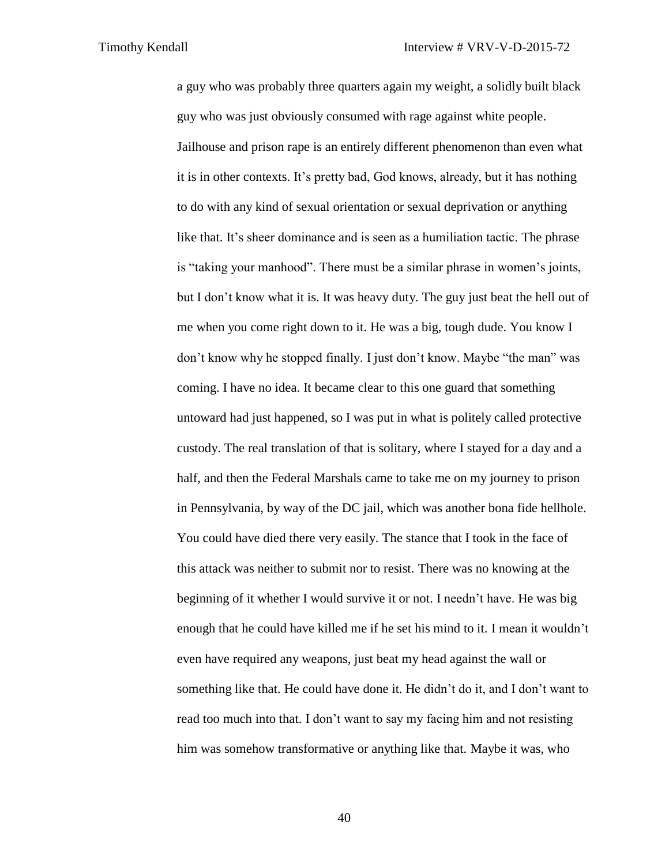a guy who was probably three quarters again my weight, a solidly built black guy who was just obviously consumed with rage against white people. Jailhouse and prison rape is an entirely different phenomenon than even what it is in other contexts. It's pretty bad, God knows, already, but it has nothing to do with any kind of sexual orientation or sexual deprivation or anything like that. It's sheer dominance and is seen as a humiliation tactic. The phrase is "taking your manhood". There must be a similar phrase in women's joints, but I don't know what it is. It was heavy duty. The guy just beat the hell out of me when you come right down to it. He was a big, tough dude. You know I don't know why he stopped finally. I just don't know. Maybe "the man" was coming. I have no idea. It became clear to this one guard that something untoward had just happened, so I was put in what is politely called protective custody. The real translation of that is solitary, where I stayed for a day and a half, and then the Federal Marshals came to take me on my journey to prison in Pennsylvania, by way of the DC jail, which was another bona fide hellhole. You could have died there very easily. The stance that I took in the face of this attack was neither to submit nor to resist. There was no knowing at the beginning of it whether I would survive it or not. I needn't have. He was big enough that he could have killed me if he set his mind to it. I mean it wouldn't even have required any weapons, just beat my head against the wall or something like that. He could have done it. He didn't do it, and I don't want to read too much into that. I don't want to say my facing him and not resisting him was somehow transformative or anything like that. Maybe it was, who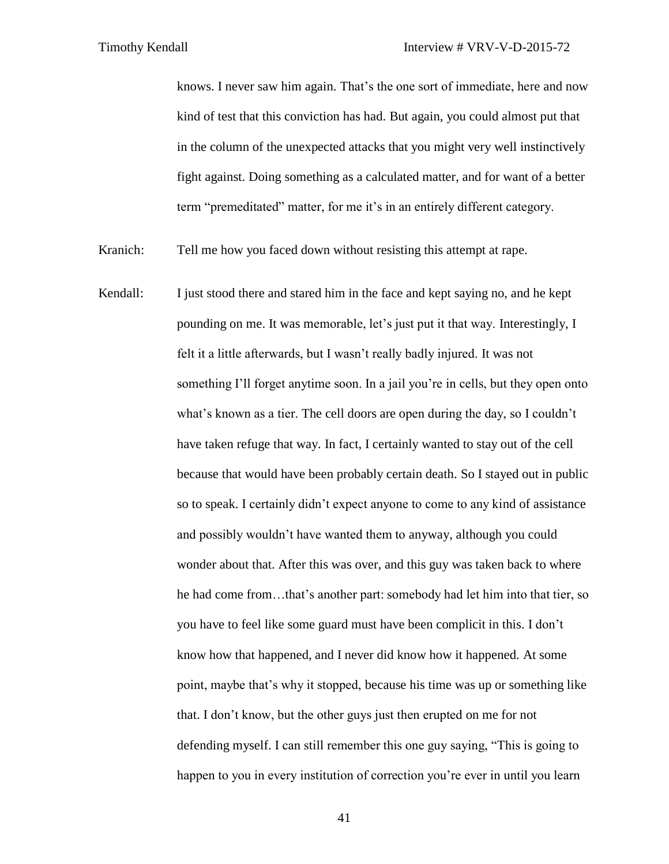knows. I never saw him again. That's the one sort of immediate, here and now kind of test that this conviction has had. But again, you could almost put that in the column of the unexpected attacks that you might very well instinctively fight against. Doing something as a calculated matter, and for want of a better term "premeditated" matter, for me it's in an entirely different category.

Kranich: Tell me how you faced down without resisting this attempt at rape.

Kendall: I just stood there and stared him in the face and kept saying no, and he kept pounding on me. It was memorable, let's just put it that way. Interestingly, I felt it a little afterwards, but I wasn't really badly injured. It was not something I'll forget anytime soon. In a jail you're in cells, but they open onto what's known as a tier. The cell doors are open during the day, so I couldn't have taken refuge that way. In fact, I certainly wanted to stay out of the cell because that would have been probably certain death. So I stayed out in public so to speak. I certainly didn't expect anyone to come to any kind of assistance and possibly wouldn't have wanted them to anyway, although you could wonder about that. After this was over, and this guy was taken back to where he had come from…that's another part: somebody had let him into that tier, so you have to feel like some guard must have been complicit in this. I don't know how that happened, and I never did know how it happened. At some point, maybe that's why it stopped, because his time was up or something like that. I don't know, but the other guys just then erupted on me for not defending myself. I can still remember this one guy saying, "This is going to happen to you in every institution of correction you're ever in until you learn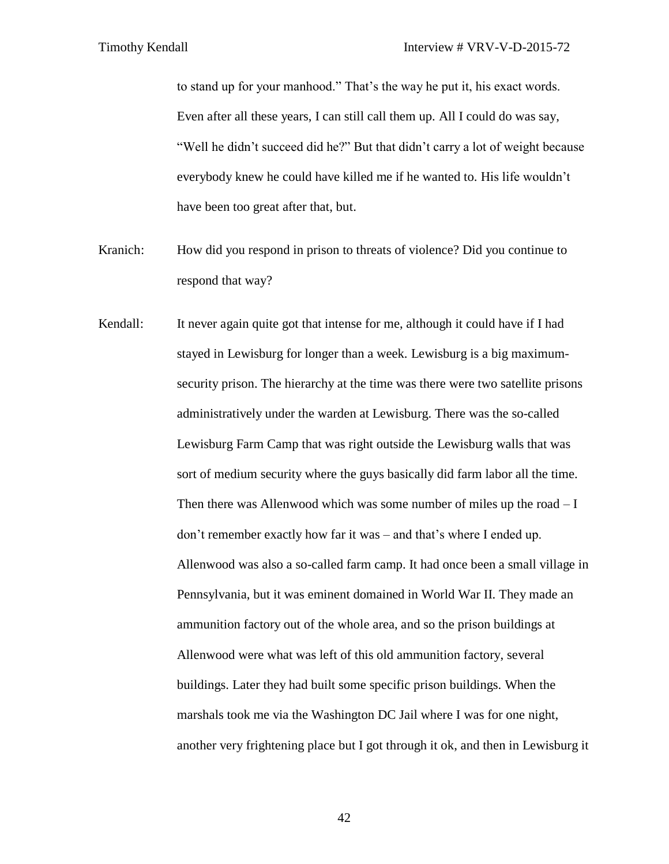to stand up for your manhood." That's the way he put it, his exact words. Even after all these years, I can still call them up. All I could do was say, "Well he didn't succeed did he?" But that didn't carry a lot of weight because everybody knew he could have killed me if he wanted to. His life wouldn't have been too great after that, but.

- Kranich: How did you respond in prison to threats of violence? Did you continue to respond that way?
- Kendall: It never again quite got that intense for me, although it could have if I had stayed in Lewisburg for longer than a week. Lewisburg is a big maximumsecurity prison. The hierarchy at the time was there were two satellite prisons administratively under the warden at Lewisburg. There was the so-called Lewisburg Farm Camp that was right outside the Lewisburg walls that was sort of medium security where the guys basically did farm labor all the time. Then there was Allenwood which was some number of miles up the road  $-I$ don't remember exactly how far it was – and that's where I ended up. Allenwood was also a so-called farm camp. It had once been a small village in Pennsylvania, but it was eminent domained in World War II. They made an ammunition factory out of the whole area, and so the prison buildings at Allenwood were what was left of this old ammunition factory, several buildings. Later they had built some specific prison buildings. When the marshals took me via the Washington DC Jail where I was for one night, another very frightening place but I got through it ok, and then in Lewisburg it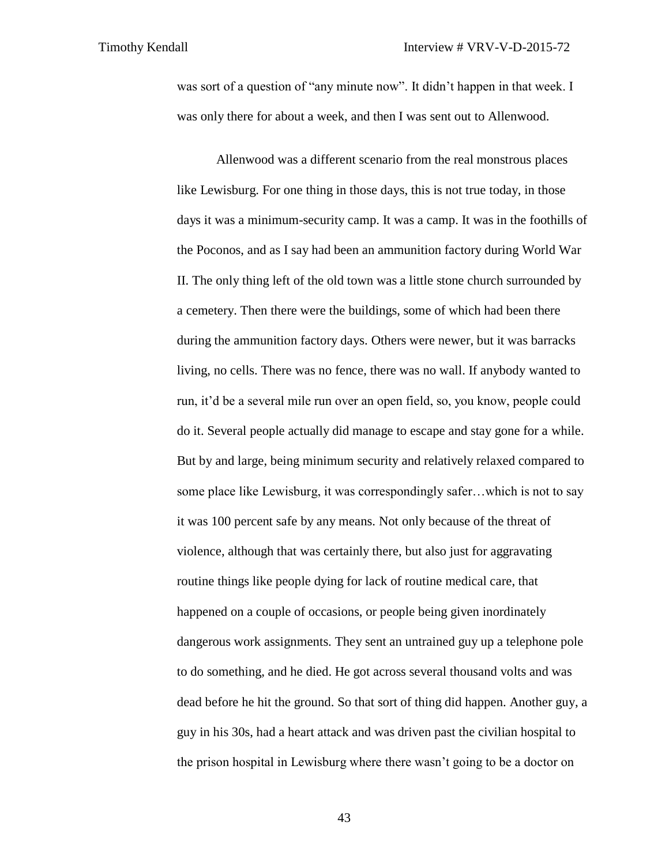was sort of a question of "any minute now". It didn't happen in that week. I was only there for about a week, and then I was sent out to Allenwood.

Allenwood was a different scenario from the real monstrous places like Lewisburg. For one thing in those days, this is not true today, in those days it was a minimum-security camp. It was a camp. It was in the foothills of the Poconos, and as I say had been an ammunition factory during World War II. The only thing left of the old town was a little stone church surrounded by a cemetery. Then there were the buildings, some of which had been there during the ammunition factory days. Others were newer, but it was barracks living, no cells. There was no fence, there was no wall. If anybody wanted to run, it'd be a several mile run over an open field, so, you know, people could do it. Several people actually did manage to escape and stay gone for a while. But by and large, being minimum security and relatively relaxed compared to some place like Lewisburg, it was correspondingly safer…which is not to say it was 100 percent safe by any means. Not only because of the threat of violence, although that was certainly there, but also just for aggravating routine things like people dying for lack of routine medical care, that happened on a couple of occasions, or people being given inordinately dangerous work assignments. They sent an untrained guy up a telephone pole to do something, and he died. He got across several thousand volts and was dead before he hit the ground. So that sort of thing did happen. Another guy, a guy in his 30s, had a heart attack and was driven past the civilian hospital to the prison hospital in Lewisburg where there wasn't going to be a doctor on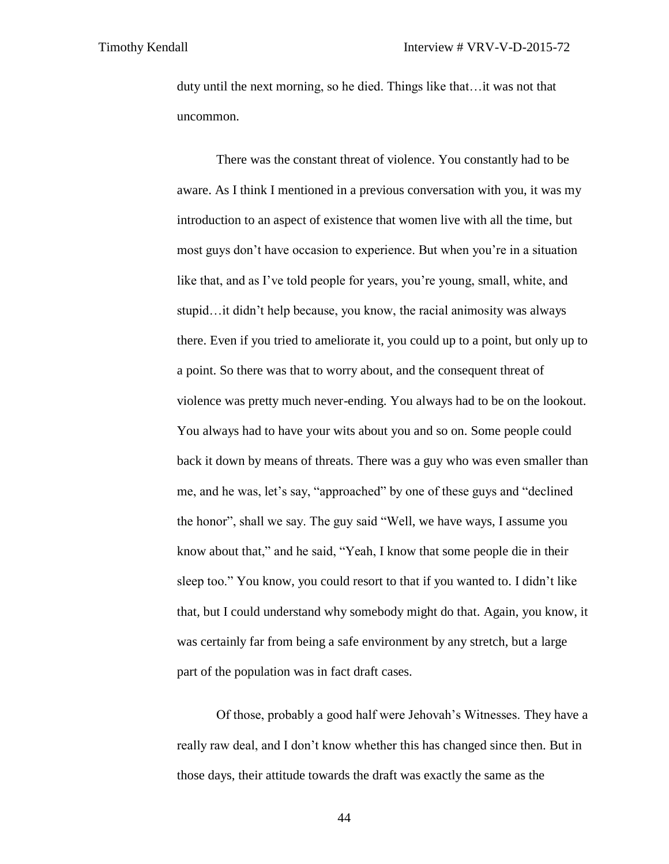duty until the next morning, so he died. Things like that…it was not that uncommon.

There was the constant threat of violence. You constantly had to be aware. As I think I mentioned in a previous conversation with you, it was my introduction to an aspect of existence that women live with all the time, but most guys don't have occasion to experience. But when you're in a situation like that, and as I've told people for years, you're young, small, white, and stupid…it didn't help because, you know, the racial animosity was always there. Even if you tried to ameliorate it, you could up to a point, but only up to a point. So there was that to worry about, and the consequent threat of violence was pretty much never-ending. You always had to be on the lookout. You always had to have your wits about you and so on. Some people could back it down by means of threats. There was a guy who was even smaller than me, and he was, let's say, "approached" by one of these guys and "declined the honor", shall we say. The guy said "Well, we have ways, I assume you know about that," and he said, "Yeah, I know that some people die in their sleep too." You know, you could resort to that if you wanted to. I didn't like that, but I could understand why somebody might do that. Again, you know, it was certainly far from being a safe environment by any stretch, but a large part of the population was in fact draft cases.

Of those, probably a good half were Jehovah's Witnesses. They have a really raw deal, and I don't know whether this has changed since then. But in those days, their attitude towards the draft was exactly the same as the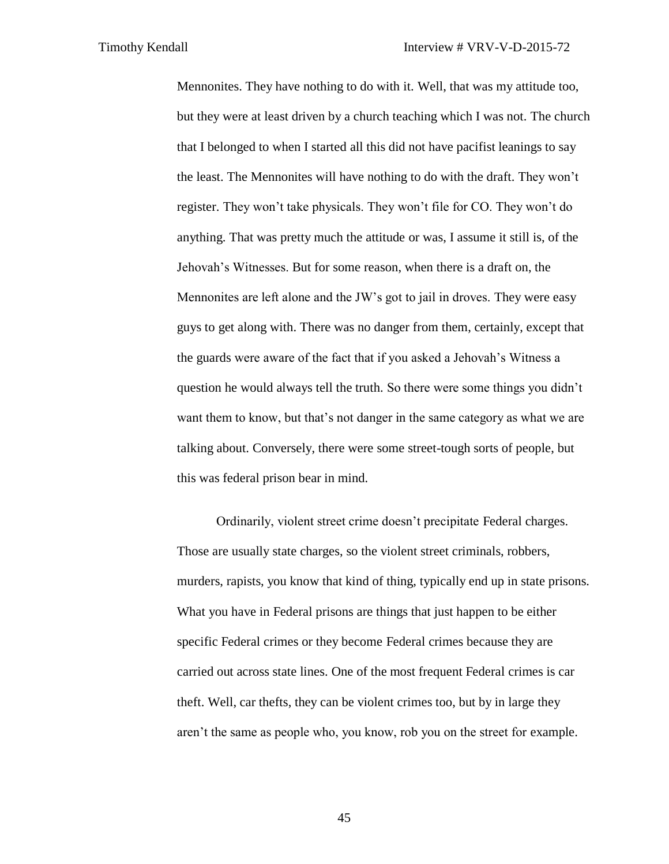Mennonites. They have nothing to do with it. Well, that was my attitude too, but they were at least driven by a church teaching which I was not. The church that I belonged to when I started all this did not have pacifist leanings to say the least. The Mennonites will have nothing to do with the draft. They won't register. They won't take physicals. They won't file for CO. They won't do anything. That was pretty much the attitude or was, I assume it still is, of the Jehovah's Witnesses. But for some reason, when there is a draft on, the Mennonites are left alone and the JW's got to jail in droves. They were easy guys to get along with. There was no danger from them, certainly, except that the guards were aware of the fact that if you asked a Jehovah's Witness a question he would always tell the truth. So there were some things you didn't want them to know, but that's not danger in the same category as what we are talking about. Conversely, there were some street-tough sorts of people, but this was federal prison bear in mind.

Ordinarily, violent street crime doesn't precipitate Federal charges. Those are usually state charges, so the violent street criminals, robbers, murders, rapists, you know that kind of thing, typically end up in state prisons. What you have in Federal prisons are things that just happen to be either specific Federal crimes or they become Federal crimes because they are carried out across state lines. One of the most frequent Federal crimes is car theft. Well, car thefts, they can be violent crimes too, but by in large they aren't the same as people who, you know, rob you on the street for example.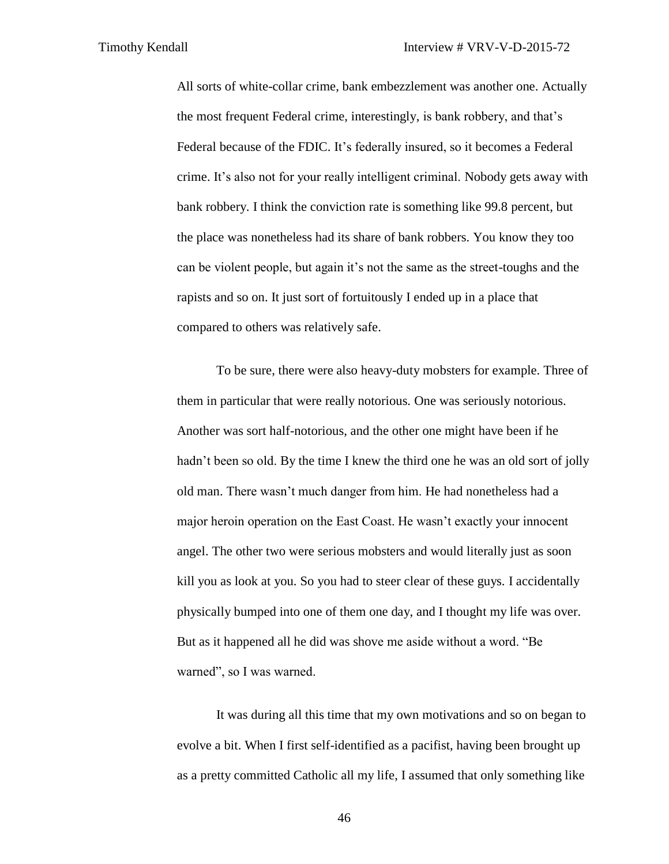All sorts of white-collar crime, bank embezzlement was another one. Actually the most frequent Federal crime, interestingly, is bank robbery, and that's Federal because of the FDIC. It's federally insured, so it becomes a Federal crime. It's also not for your really intelligent criminal. Nobody gets away with bank robbery. I think the conviction rate is something like 99.8 percent, but the place was nonetheless had its share of bank robbers. You know they too can be violent people, but again it's not the same as the street-toughs and the rapists and so on. It just sort of fortuitously I ended up in a place that compared to others was relatively safe.

To be sure, there were also heavy-duty mobsters for example. Three of them in particular that were really notorious. One was seriously notorious. Another was sort half-notorious, and the other one might have been if he hadn't been so old. By the time I knew the third one he was an old sort of jolly old man. There wasn't much danger from him. He had nonetheless had a major heroin operation on the East Coast. He wasn't exactly your innocent angel. The other two were serious mobsters and would literally just as soon kill you as look at you. So you had to steer clear of these guys. I accidentally physically bumped into one of them one day, and I thought my life was over. But as it happened all he did was shove me aside without a word. "Be warned", so I was warned.

It was during all this time that my own motivations and so on began to evolve a bit. When I first self-identified as a pacifist, having been brought up as a pretty committed Catholic all my life, I assumed that only something like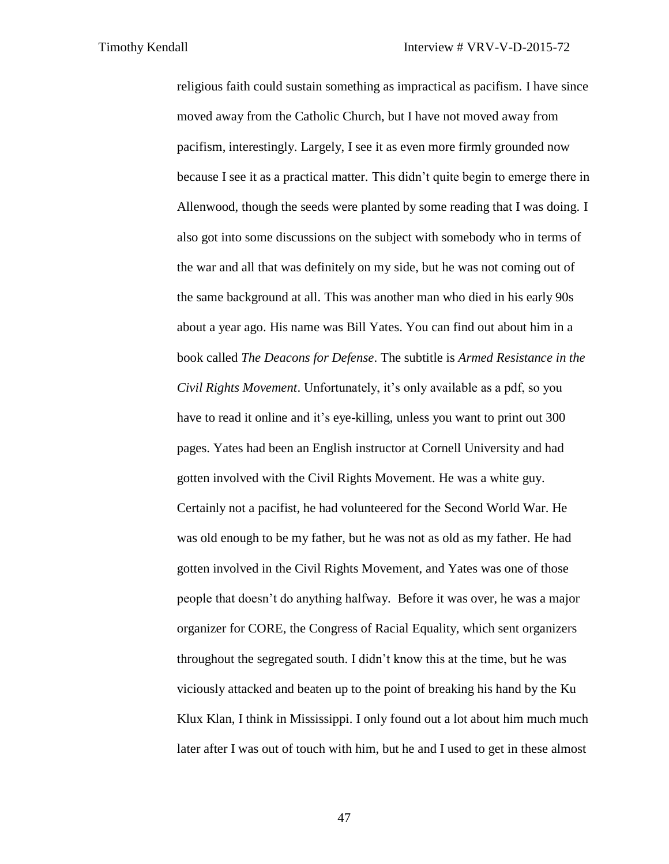religious faith could sustain something as impractical as pacifism. I have since moved away from the Catholic Church, but I have not moved away from pacifism, interestingly. Largely, I see it as even more firmly grounded now because I see it as a practical matter. This didn't quite begin to emerge there in Allenwood, though the seeds were planted by some reading that I was doing. I also got into some discussions on the subject with somebody who in terms of the war and all that was definitely on my side, but he was not coming out of the same background at all. This was another man who died in his early 90s about a year ago. His name was Bill Yates. You can find out about him in a book called *The Deacons for Defense*. The subtitle is *Armed Resistance in the Civil Rights Movement*. Unfortunately, it's only available as a pdf, so you have to read it online and it's eye-killing, unless you want to print out 300 pages. Yates had been an English instructor at Cornell University and had gotten involved with the Civil Rights Movement. He was a white guy. Certainly not a pacifist, he had volunteered for the Second World War. He was old enough to be my father, but he was not as old as my father. He had gotten involved in the Civil Rights Movement, and Yates was one of those people that doesn't do anything halfway. Before it was over, he was a major organizer for CORE, the Congress of Racial Equality, which sent organizers throughout the segregated south. I didn't know this at the time, but he was viciously attacked and beaten up to the point of breaking his hand by the Ku Klux Klan, I think in Mississippi. I only found out a lot about him much much later after I was out of touch with him, but he and I used to get in these almost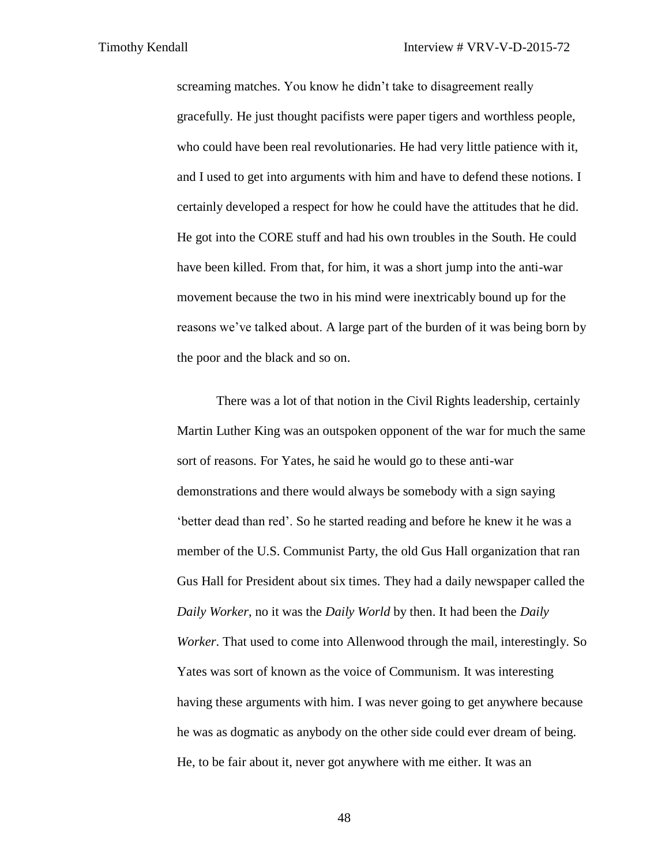screaming matches. You know he didn't take to disagreement really gracefully. He just thought pacifists were paper tigers and worthless people, who could have been real revolutionaries. He had very little patience with it, and I used to get into arguments with him and have to defend these notions. I certainly developed a respect for how he could have the attitudes that he did. He got into the CORE stuff and had his own troubles in the South. He could have been killed. From that, for him, it was a short jump into the anti-war movement because the two in his mind were inextricably bound up for the reasons we've talked about. A large part of the burden of it was being born by the poor and the black and so on.

There was a lot of that notion in the Civil Rights leadership, certainly Martin Luther King was an outspoken opponent of the war for much the same sort of reasons. For Yates, he said he would go to these anti-war demonstrations and there would always be somebody with a sign saying 'better dead than red'. So he started reading and before he knew it he was a member of the U.S. Communist Party, the old Gus Hall organization that ran Gus Hall for President about six times. They had a daily newspaper called the *Daily Worker*, no it was the *Daily World* by then. It had been the *Daily Worker*. That used to come into Allenwood through the mail, interestingly. So Yates was sort of known as the voice of Communism. It was interesting having these arguments with him. I was never going to get anywhere because he was as dogmatic as anybody on the other side could ever dream of being. He, to be fair about it, never got anywhere with me either. It was an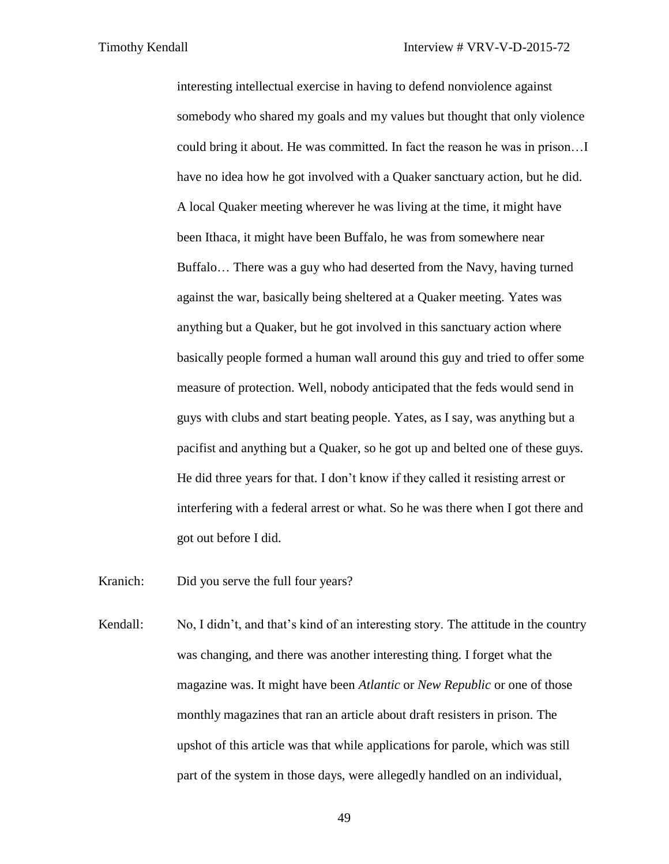interesting intellectual exercise in having to defend nonviolence against somebody who shared my goals and my values but thought that only violence could bring it about. He was committed. In fact the reason he was in prison…I have no idea how he got involved with a Quaker sanctuary action, but he did. A local Quaker meeting wherever he was living at the time, it might have been Ithaca, it might have been Buffalo, he was from somewhere near Buffalo… There was a guy who had deserted from the Navy, having turned against the war, basically being sheltered at a Quaker meeting. Yates was anything but a Quaker, but he got involved in this sanctuary action where basically people formed a human wall around this guy and tried to offer some measure of protection. Well, nobody anticipated that the feds would send in guys with clubs and start beating people. Yates, as I say, was anything but a pacifist and anything but a Quaker, so he got up and belted one of these guys. He did three years for that. I don't know if they called it resisting arrest or interfering with a federal arrest or what. So he was there when I got there and got out before I did.

Kranich: Did you serve the full four years?

Kendall: No, I didn't, and that's kind of an interesting story. The attitude in the country was changing, and there was another interesting thing. I forget what the magazine was. It might have been *Atlantic* or *New Republic* or one of those monthly magazines that ran an article about draft resisters in prison. The upshot of this article was that while applications for parole, which was still part of the system in those days, were allegedly handled on an individual,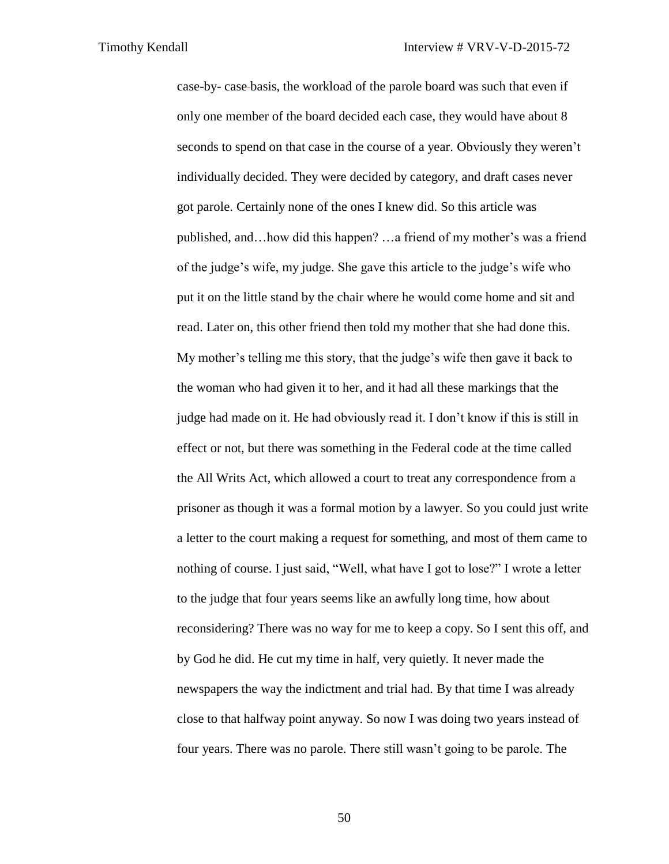case-by- case basis, the workload of the parole board was such that even if only one member of the board decided each case, they would have about 8 seconds to spend on that case in the course of a year. Obviously they weren't individually decided. They were decided by category, and draft cases never got parole. Certainly none of the ones I knew did. So this article was published, and…how did this happen? …a friend of my mother's was a friend of the judge's wife, my judge. She gave this article to the judge's wife who put it on the little stand by the chair where he would come home and sit and read. Later on, this other friend then told my mother that she had done this. My mother's telling me this story, that the judge's wife then gave it back to the woman who had given it to her, and it had all these markings that the judge had made on it. He had obviously read it. I don't know if this is still in effect or not, but there was something in the Federal code at the time called the All Writs Act, which allowed a court to treat any correspondence from a prisoner as though it was a formal motion by a lawyer. So you could just write a letter to the court making a request for something, and most of them came to nothing of course. I just said, "Well, what have I got to lose?" I wrote a letter to the judge that four years seems like an awfully long time, how about reconsidering? There was no way for me to keep a copy. So I sent this off, and by God he did. He cut my time in half, very quietly. It never made the newspapers the way the indictment and trial had. By that time I was already close to that halfway point anyway. So now I was doing two years instead of four years. There was no parole. There still wasn't going to be parole. The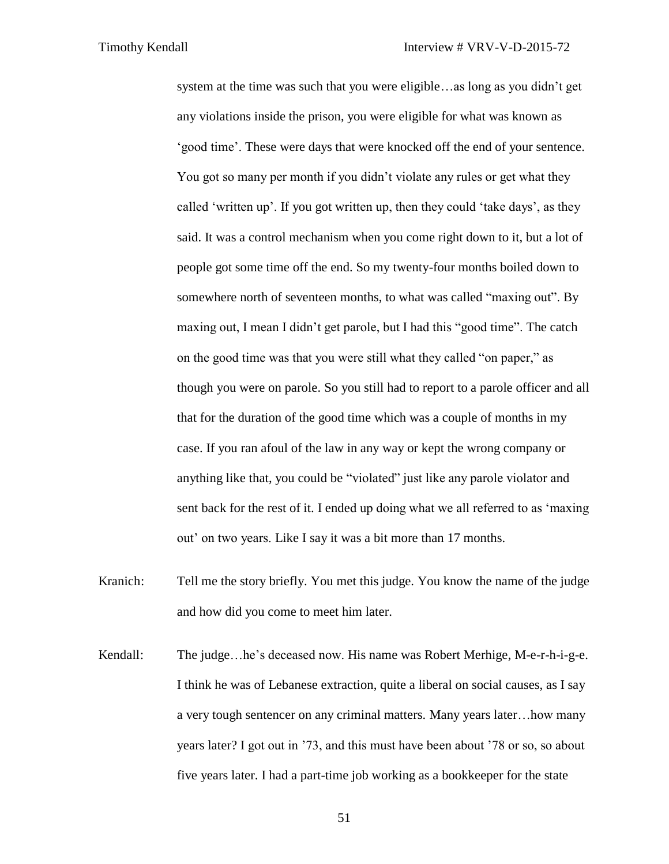system at the time was such that you were eligible…as long as you didn't get any violations inside the prison, you were eligible for what was known as 'good time'. These were days that were knocked off the end of your sentence. You got so many per month if you didn't violate any rules or get what they called 'written up'. If you got written up, then they could 'take days', as they said. It was a control mechanism when you come right down to it, but a lot of people got some time off the end. So my twenty-four months boiled down to somewhere north of seventeen months, to what was called "maxing out". By maxing out, I mean I didn't get parole, but I had this "good time". The catch on the good time was that you were still what they called "on paper," as though you were on parole. So you still had to report to a parole officer and all that for the duration of the good time which was a couple of months in my case. If you ran afoul of the law in any way or kept the wrong company or anything like that, you could be "violated" just like any parole violator and sent back for the rest of it. I ended up doing what we all referred to as 'maxing out' on two years. Like I say it was a bit more than 17 months.

- Kranich: Tell me the story briefly. You met this judge. You know the name of the judge and how did you come to meet him later.
- Kendall: The judge…he's deceased now. His name was Robert Merhige, M-e-r-h-i-g-e. I think he was of Lebanese extraction, quite a liberal on social causes, as I say a very tough sentencer on any criminal matters. Many years later…how many years later? I got out in '73, and this must have been about '78 or so, so about five years later. I had a part-time job working as a bookkeeper for the state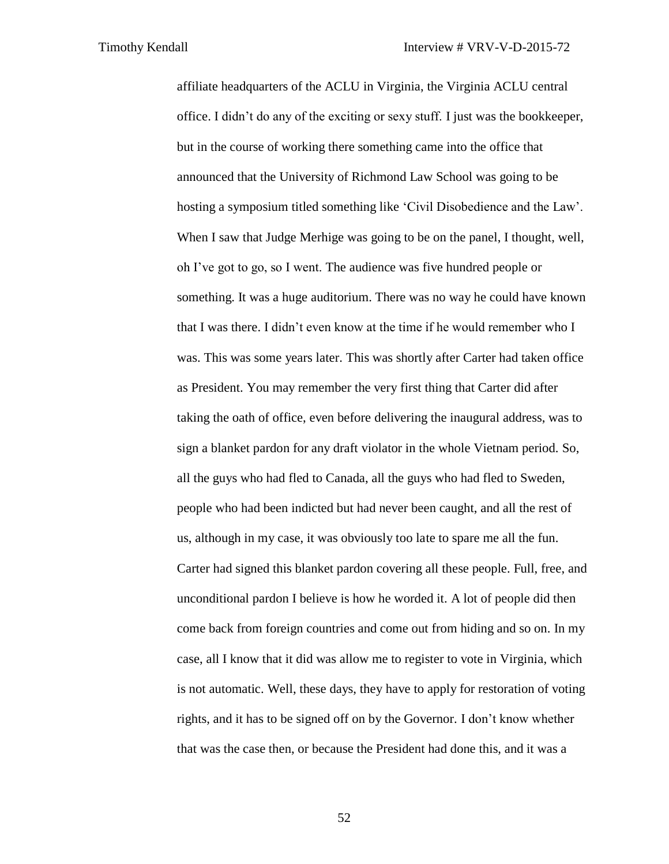affiliate headquarters of the ACLU in Virginia, the Virginia ACLU central office. I didn't do any of the exciting or sexy stuff. I just was the bookkeeper, but in the course of working there something came into the office that announced that the University of Richmond Law School was going to be hosting a symposium titled something like 'Civil Disobedience and the Law'. When I saw that Judge Merhige was going to be on the panel, I thought, well, oh I've got to go, so I went. The audience was five hundred people or something. It was a huge auditorium. There was no way he could have known that I was there. I didn't even know at the time if he would remember who I was. This was some years later. This was shortly after Carter had taken office as President. You may remember the very first thing that Carter did after taking the oath of office, even before delivering the inaugural address, was to sign a blanket pardon for any draft violator in the whole Vietnam period. So, all the guys who had fled to Canada, all the guys who had fled to Sweden, people who had been indicted but had never been caught, and all the rest of us, although in my case, it was obviously too late to spare me all the fun. Carter had signed this blanket pardon covering all these people. Full, free, and unconditional pardon I believe is how he worded it. A lot of people did then come back from foreign countries and come out from hiding and so on. In my case, all I know that it did was allow me to register to vote in Virginia, which is not automatic. Well, these days, they have to apply for restoration of voting rights, and it has to be signed off on by the Governor. I don't know whether that was the case then, or because the President had done this, and it was a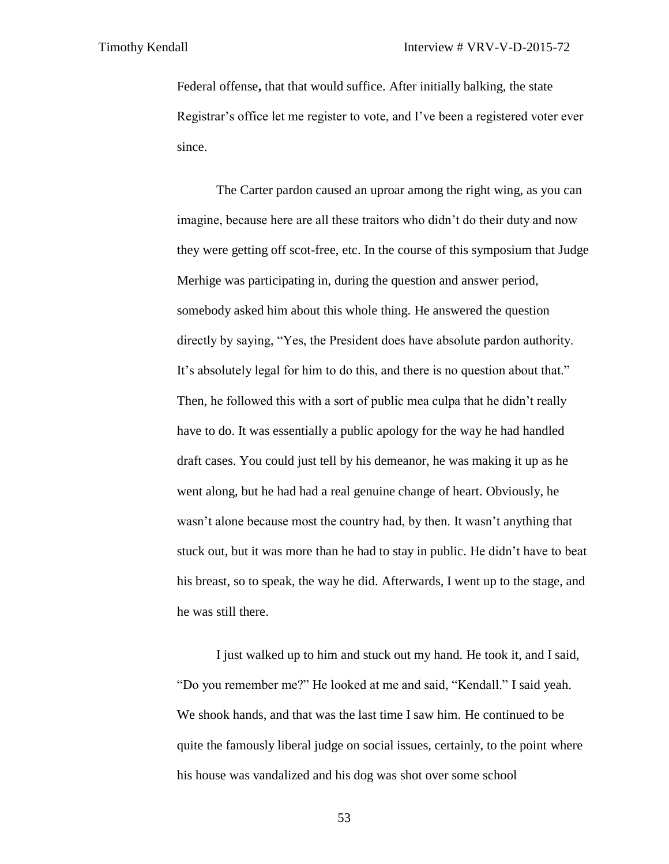Federal offense**,** that that would suffice. After initially balking, the state Registrar's office let me register to vote, and I've been a registered voter ever since.

The Carter pardon caused an uproar among the right wing, as you can imagine, because here are all these traitors who didn't do their duty and now they were getting off scot-free, etc. In the course of this symposium that Judge Merhige was participating in, during the question and answer period, somebody asked him about this whole thing. He answered the question directly by saying, "Yes, the President does have absolute pardon authority. It's absolutely legal for him to do this, and there is no question about that." Then, he followed this with a sort of public mea culpa that he didn't really have to do. It was essentially a public apology for the way he had handled draft cases. You could just tell by his demeanor, he was making it up as he went along, but he had had a real genuine change of heart. Obviously, he wasn't alone because most the country had, by then. It wasn't anything that stuck out, but it was more than he had to stay in public. He didn't have to beat his breast, so to speak, the way he did. Afterwards, I went up to the stage, and he was still there.

I just walked up to him and stuck out my hand. He took it, and I said, "Do you remember me?" He looked at me and said, "Kendall." I said yeah. We shook hands, and that was the last time I saw him. He continued to be quite the famously liberal judge on social issues, certainly, to the point where his house was vandalized and his dog was shot over some school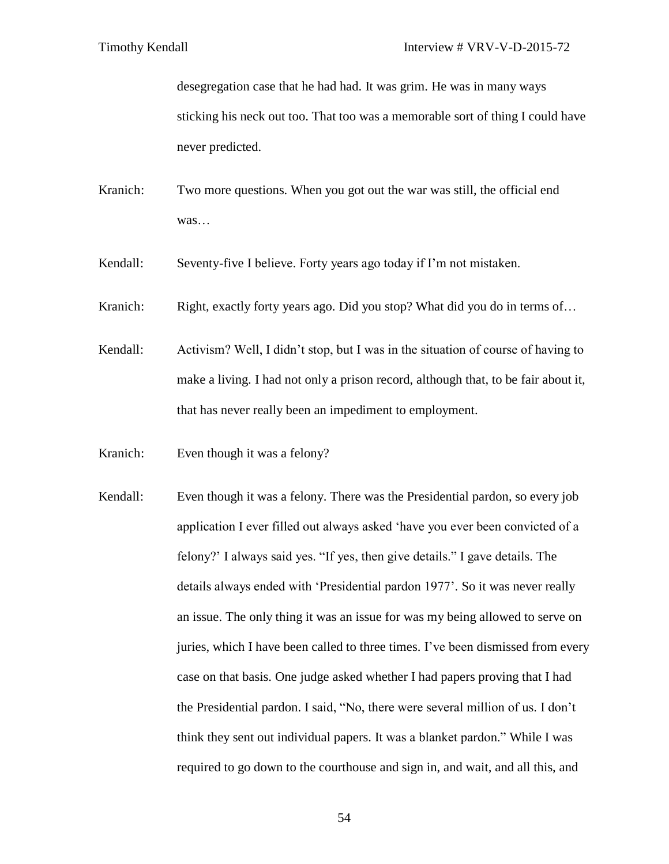desegregation case that he had had. It was grim. He was in many ways sticking his neck out too. That too was a memorable sort of thing I could have never predicted.

- Kranich: Two more questions. When you got out the war was still, the official end was…
- Kendall: Seventy-five I believe. Forty years ago today if I'm not mistaken.
- Kranich: Right, exactly forty years ago. Did you stop? What did you do in terms of...
- Kendall: Activism? Well, I didn't stop, but I was in the situation of course of having to make a living. I had not only a prison record, although that, to be fair about it, that has never really been an impediment to employment.
- Kranich: Even though it was a felony?
- Kendall: Even though it was a felony. There was the Presidential pardon, so every job application I ever filled out always asked 'have you ever been convicted of a felony?' I always said yes. "If yes, then give details." I gave details. The details always ended with 'Presidential pardon 1977'. So it was never really an issue. The only thing it was an issue for was my being allowed to serve on juries, which I have been called to three times. I've been dismissed from every case on that basis. One judge asked whether I had papers proving that I had the Presidential pardon. I said, "No, there were several million of us. I don't think they sent out individual papers. It was a blanket pardon." While I was required to go down to the courthouse and sign in, and wait, and all this, and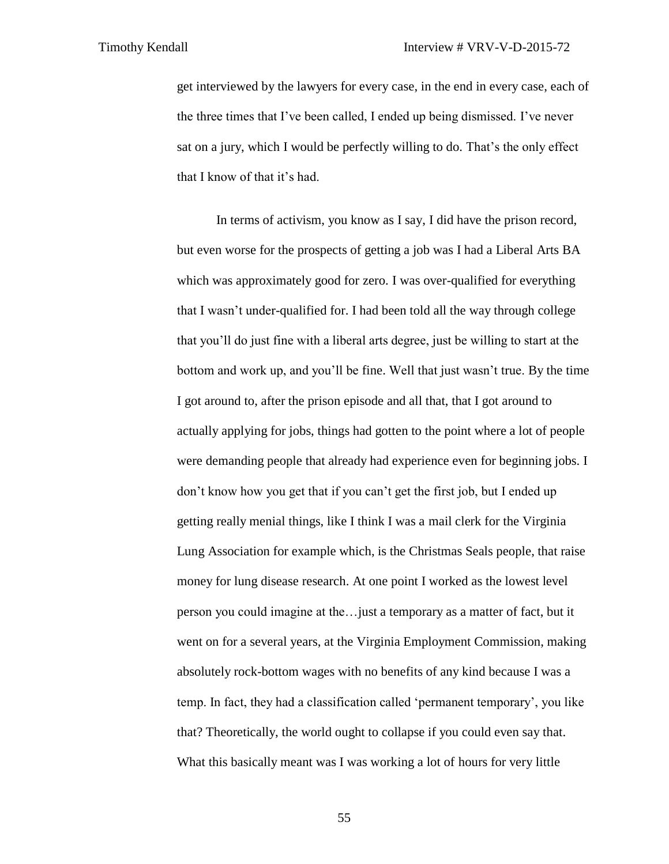get interviewed by the lawyers for every case, in the end in every case, each of the three times that I've been called, I ended up being dismissed. I've never sat on a jury, which I would be perfectly willing to do. That's the only effect that I know of that it's had.

In terms of activism, you know as I say, I did have the prison record, but even worse for the prospects of getting a job was I had a Liberal Arts BA which was approximately good for zero. I was over-qualified for everything that I wasn't under-qualified for. I had been told all the way through college that you'll do just fine with a liberal arts degree, just be willing to start at the bottom and work up, and you'll be fine. Well that just wasn't true. By the time I got around to, after the prison episode and all that, that I got around to actually applying for jobs, things had gotten to the point where a lot of people were demanding people that already had experience even for beginning jobs. I don't know how you get that if you can't get the first job, but I ended up getting really menial things, like I think I was a mail clerk for the Virginia Lung Association for example which, is the Christmas Seals people, that raise money for lung disease research. At one point I worked as the lowest level person you could imagine at the…just a temporary as a matter of fact, but it went on for a several years, at the Virginia Employment Commission, making absolutely rock-bottom wages with no benefits of any kind because I was a temp. In fact, they had a classification called 'permanent temporary', you like that? Theoretically, the world ought to collapse if you could even say that. What this basically meant was I was working a lot of hours for very little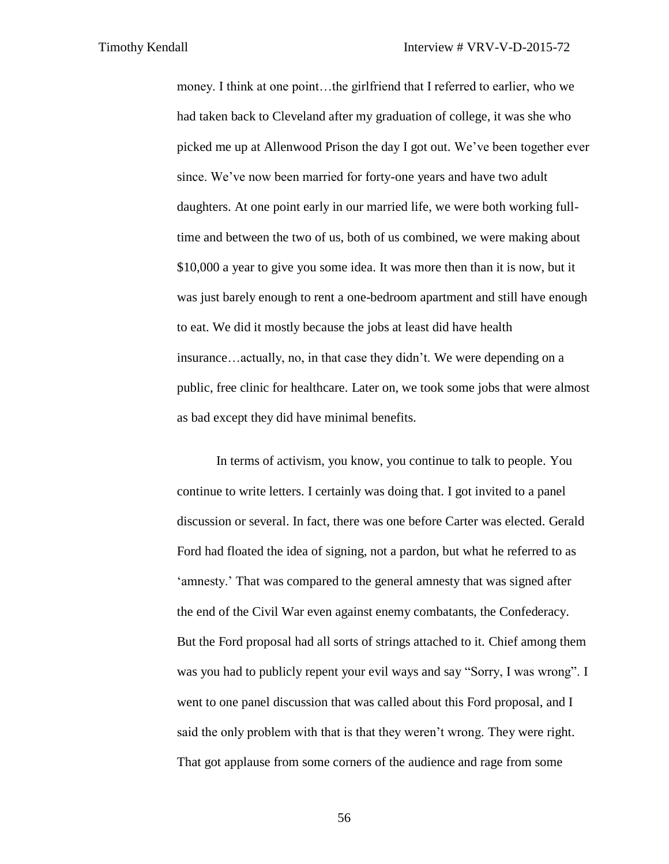money. I think at one point…the girlfriend that I referred to earlier, who we had taken back to Cleveland after my graduation of college, it was she who picked me up at Allenwood Prison the day I got out. We've been together ever since. We've now been married for forty-one years and have two adult daughters. At one point early in our married life, we were both working fulltime and between the two of us, both of us combined, we were making about \$10,000 a year to give you some idea. It was more then than it is now, but it was just barely enough to rent a one-bedroom apartment and still have enough to eat. We did it mostly because the jobs at least did have health insurance…actually, no, in that case they didn't. We were depending on a public, free clinic for healthcare. Later on, we took some jobs that were almost as bad except they did have minimal benefits.

In terms of activism, you know, you continue to talk to people. You continue to write letters. I certainly was doing that. I got invited to a panel discussion or several. In fact, there was one before Carter was elected. Gerald Ford had floated the idea of signing, not a pardon, but what he referred to as 'amnesty.' That was compared to the general amnesty that was signed after the end of the Civil War even against enemy combatants, the Confederacy. But the Ford proposal had all sorts of strings attached to it. Chief among them was you had to publicly repent your evil ways and say "Sorry, I was wrong". I went to one panel discussion that was called about this Ford proposal, and I said the only problem with that is that they weren't wrong. They were right. That got applause from some corners of the audience and rage from some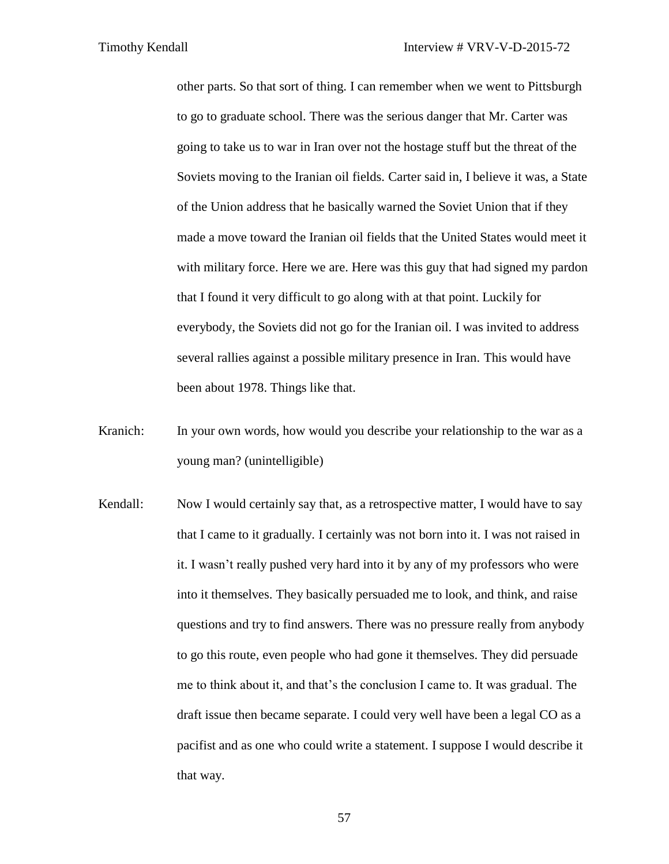other parts. So that sort of thing. I can remember when we went to Pittsburgh to go to graduate school. There was the serious danger that Mr. Carter was going to take us to war in Iran over not the hostage stuff but the threat of the Soviets moving to the Iranian oil fields. Carter said in, I believe it was, a State of the Union address that he basically warned the Soviet Union that if they made a move toward the Iranian oil fields that the United States would meet it with military force. Here we are. Here was this guy that had signed my pardon that I found it very difficult to go along with at that point. Luckily for everybody, the Soviets did not go for the Iranian oil. I was invited to address several rallies against a possible military presence in Iran. This would have been about 1978. Things like that.

- Kranich: In your own words, how would you describe your relationship to the war as a young man? (unintelligible)
- Kendall: Now I would certainly say that, as a retrospective matter, I would have to say that I came to it gradually. I certainly was not born into it. I was not raised in it. I wasn't really pushed very hard into it by any of my professors who were into it themselves. They basically persuaded me to look, and think, and raise questions and try to find answers. There was no pressure really from anybody to go this route, even people who had gone it themselves. They did persuade me to think about it, and that's the conclusion I came to. It was gradual. The draft issue then became separate. I could very well have been a legal CO as a pacifist and as one who could write a statement. I suppose I would describe it that way.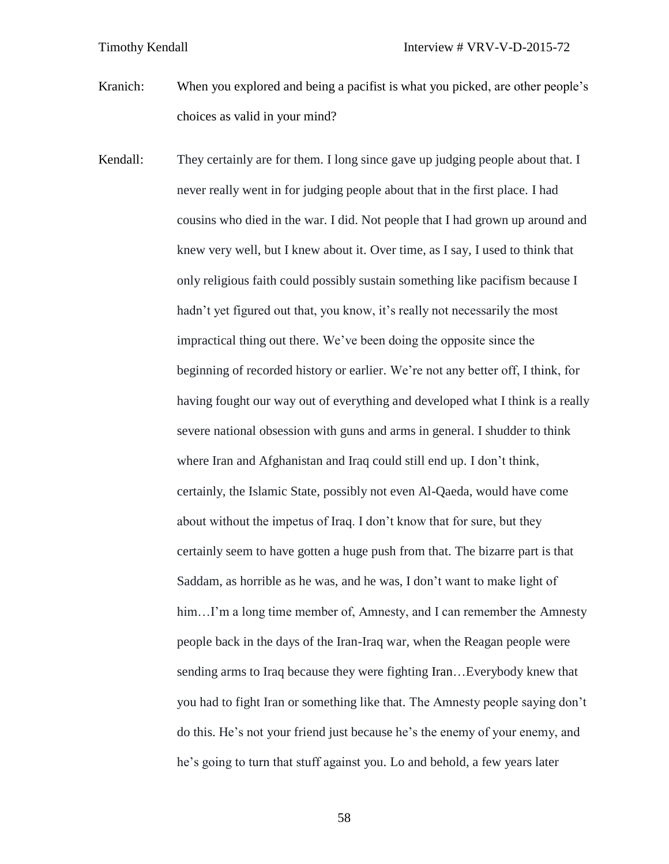Kranich: When you explored and being a pacifist is what you picked, are other people's choices as valid in your mind?

Kendall: They certainly are for them. I long since gave up judging people about that. I never really went in for judging people about that in the first place. I had cousins who died in the war. I did. Not people that I had grown up around and knew very well, but I knew about it. Over time, as I say, I used to think that only religious faith could possibly sustain something like pacifism because I hadn't yet figured out that, you know, it's really not necessarily the most impractical thing out there. We've been doing the opposite since the beginning of recorded history or earlier. We're not any better off, I think, for having fought our way out of everything and developed what I think is a really severe national obsession with guns and arms in general. I shudder to think where Iran and Afghanistan and Iraq could still end up. I don't think, certainly, the Islamic State, possibly not even Al-Qaeda, would have come about without the impetus of Iraq. I don't know that for sure, but they certainly seem to have gotten a huge push from that. The bizarre part is that Saddam, as horrible as he was, and he was, I don't want to make light of him...I'm a long time member of, Amnesty, and I can remember the Amnesty people back in the days of the Iran-Iraq war, when the Reagan people were sending arms to Iraq because they were fighting Iran…Everybody knew that you had to fight Iran or something like that. The Amnesty people saying don't do this. He's not your friend just because he's the enemy of your enemy, and he's going to turn that stuff against you. Lo and behold, a few years later